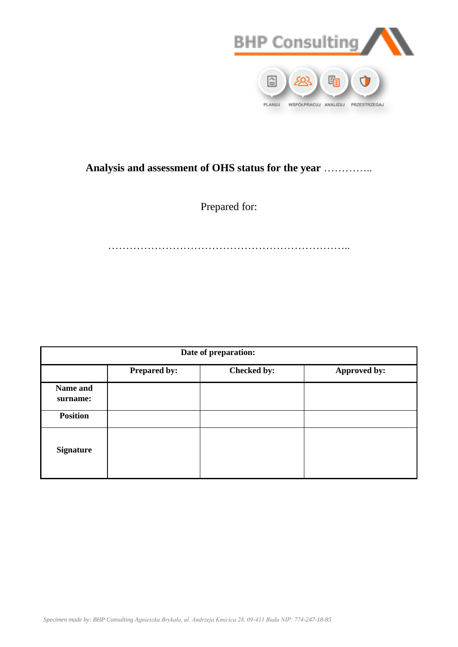

## **Analysis and assessment of OHS status for the year** …………..

Prepared for:

…………………………………………………………..

|                      | Date of preparation: |             |              |  |  |  |  |  |  |  |  |  |
|----------------------|----------------------|-------------|--------------|--|--|--|--|--|--|--|--|--|
|                      | <b>Prepared by:</b>  | Checked by: | Approved by: |  |  |  |  |  |  |  |  |  |
| Name and<br>surname: |                      |             |              |  |  |  |  |  |  |  |  |  |
| <b>Position</b>      |                      |             |              |  |  |  |  |  |  |  |  |  |
| <b>Signature</b>     |                      |             |              |  |  |  |  |  |  |  |  |  |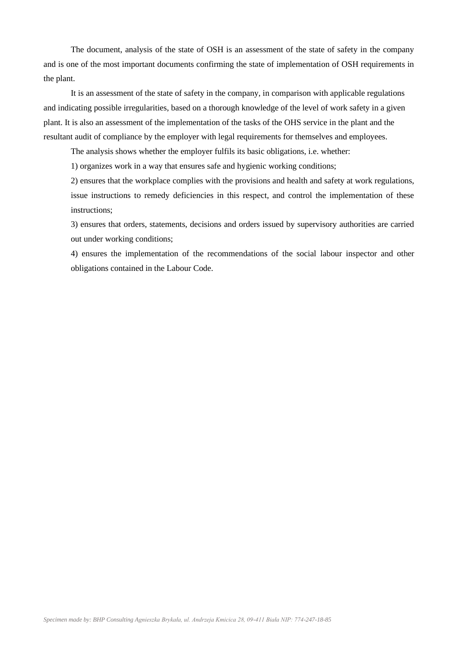The document, analysis of the state of OSH is an assessment of the state of safety in the company and is one of the most important documents confirming the state of implementation of OSH requirements in the plant.

It is an assessment of the state of safety in the company, in comparison with applicable regulations and indicating possible irregularities, based on a thorough knowledge of the level of work safety in a given plant. It is also an assessment of the implementation of the tasks of the OHS service in the plant and the resultant audit of compliance by the employer with legal requirements for themselves and employees.

The analysis shows whether the employer fulfils its basic obligations, i.e. whether:

1) organizes work in a way that ensures safe and hygienic working conditions;

2) ensures that the workplace complies with the provisions and health and safety at work regulations, issue instructions to remedy deficiencies in this respect, and control the implementation of these instructions;

3) ensures that orders, statements, decisions and orders issued by supervisory authorities are carried out under working conditions;

4) ensures the implementation of the recommendations of the social labour inspector and other obligations contained in the Labour Code.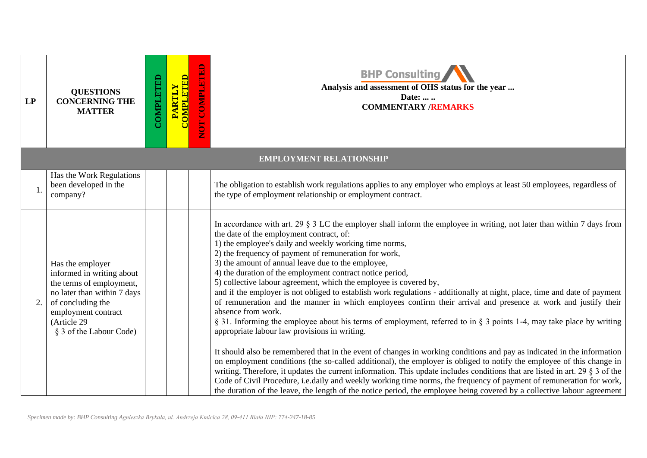| LP | <b>QUESTIONS</b><br><b>CONCERNING THE</b><br><b>MATTER</b>                                                                                                                                     | COMPLETED | PARTLY<br>COMPLETED | NOT COMPLETED | <b>BHP Consulting</b><br>Analysis and assessment of OHS status for the year<br>Date:<br><b>COMMENTARY /REMARKS</b>                                                                                                                                                                                                                                                                                                                                                                                                                                                                                                                                                                                                                                                                                                                                                                                                                                                                                                                                                                                                                                                                                                                                                                                                                                                                                                                                                                                                                                                        |
|----|------------------------------------------------------------------------------------------------------------------------------------------------------------------------------------------------|-----------|---------------------|---------------|---------------------------------------------------------------------------------------------------------------------------------------------------------------------------------------------------------------------------------------------------------------------------------------------------------------------------------------------------------------------------------------------------------------------------------------------------------------------------------------------------------------------------------------------------------------------------------------------------------------------------------------------------------------------------------------------------------------------------------------------------------------------------------------------------------------------------------------------------------------------------------------------------------------------------------------------------------------------------------------------------------------------------------------------------------------------------------------------------------------------------------------------------------------------------------------------------------------------------------------------------------------------------------------------------------------------------------------------------------------------------------------------------------------------------------------------------------------------------------------------------------------------------------------------------------------------------|
|    |                                                                                                                                                                                                |           |                     |               | <b>EMPLOYMENT RELATIONSHIP</b>                                                                                                                                                                                                                                                                                                                                                                                                                                                                                                                                                                                                                                                                                                                                                                                                                                                                                                                                                                                                                                                                                                                                                                                                                                                                                                                                                                                                                                                                                                                                            |
| 1. | Has the Work Regulations<br>been developed in the<br>company?                                                                                                                                  |           |                     |               | The obligation to establish work regulations applies to any employer who employs at least 50 employees, regardless of<br>the type of employment relationship or employment contract.                                                                                                                                                                                                                                                                                                                                                                                                                                                                                                                                                                                                                                                                                                                                                                                                                                                                                                                                                                                                                                                                                                                                                                                                                                                                                                                                                                                      |
| 2. | Has the employer<br>informed in writing about<br>the terms of employment,<br>no later than within 7 days<br>of concluding the<br>employment contract<br>(Article 29<br>§ 3 of the Labour Code) |           |                     |               | In accordance with art. 29 $\S 3$ LC the employer shall inform the employee in writing, not later than within 7 days from<br>the date of the employment contract, of:<br>1) the employee's daily and weekly working time norms,<br>2) the frequency of payment of remuneration for work,<br>3) the amount of annual leave due to the employee,<br>4) the duration of the employment contract notice period,<br>5) collective labour agreement, which the employee is covered by,<br>and if the employer is not obliged to establish work regulations - additionally at night, place, time and date of payment<br>of remuneration and the manner in which employees confirm their arrival and presence at work and justify their<br>absence from work.<br>§ 31. Informing the employee about his terms of employment, referred to in § 3 points 1-4, may take place by writing<br>appropriate labour law provisions in writing.<br>It should also be remembered that in the event of changes in working conditions and pay as indicated in the information<br>on employment conditions (the so-called additional), the employer is obliged to notify the employee of this change in<br>writing. Therefore, it updates the current information. This update includes conditions that are listed in art. 29 $\S$ 3 of the<br>Code of Civil Procedure, i.e.daily and weekly working time norms, the frequency of payment of remuneration for work,<br>the duration of the leave, the length of the notice period, the employee being covered by a collective labour agreement |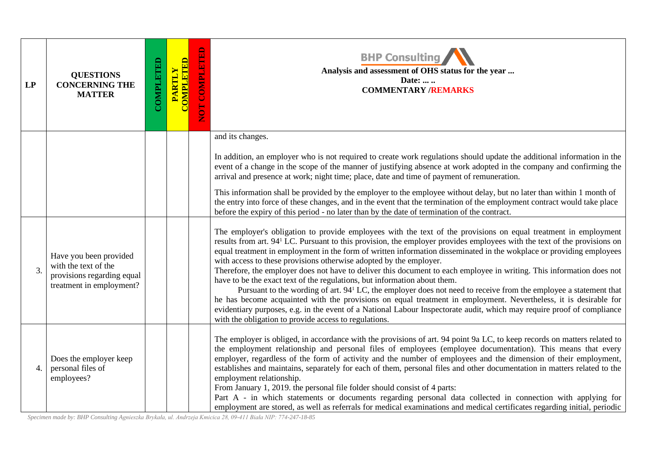| LP               | <b>QUESTIONS</b><br><b>CONCERNING THE</b><br><b>MATTER</b>                                               | COMPLETED | <b>COMPLETED</b><br>PARTLY | NOT COMPLETED | <b>BHP Consulting</b><br>Analysis and assessment of OHS status for the year<br>Date:<br><b>COMMENTARY /REMARKS</b>                                                                                                                                                                                                                                                                                                                                                                                                                                                                                                                                                                                                                                                                                                                                                                                                                                                                                                                                                                                 |
|------------------|----------------------------------------------------------------------------------------------------------|-----------|----------------------------|---------------|----------------------------------------------------------------------------------------------------------------------------------------------------------------------------------------------------------------------------------------------------------------------------------------------------------------------------------------------------------------------------------------------------------------------------------------------------------------------------------------------------------------------------------------------------------------------------------------------------------------------------------------------------------------------------------------------------------------------------------------------------------------------------------------------------------------------------------------------------------------------------------------------------------------------------------------------------------------------------------------------------------------------------------------------------------------------------------------------------|
|                  |                                                                                                          |           |                            |               | and its changes.<br>In addition, an employer who is not required to create work regulations should update the additional information in the<br>event of a change in the scope of the manner of justifying absence at work adopted in the company and confirming the<br>arrival and presence at work; night time; place, date and time of payment of remuneration.<br>This information shall be provided by the employer to the employee without delay, but no later than within 1 month of<br>the entry into force of these changes, and in the event that the termination of the employment contract would take place<br>before the expiry of this period - no later than by the date of termination of the contract.                                                                                                                                                                                                                                                                                                                                                                             |
| $\overline{3}$ . | Have you been provided<br>with the text of the<br>provisions regarding equal<br>treatment in employment? |           |                            |               | The employer's obligation to provide employees with the text of the provisions on equal treatment in employment<br>results from art. 94 <sup>1</sup> LC. Pursuant to this provision, the employer provides employees with the text of the provisions on<br>equal treatment in employment in the form of written information disseminated in the wokplace or providing employees<br>with access to these provisions otherwise adopted by the employer.<br>Therefore, the employer does not have to deliver this document to each employee in writing. This information does not<br>have to be the exact text of the regulations, but information about them.<br>Pursuant to the wording of art. 94 <sup>1</sup> LC, the employer does not need to receive from the employee a statement that<br>he has become acquainted with the provisions on equal treatment in employment. Nevertheless, it is desirable for<br>evidentiary purposes, e.g. in the event of a National Labour Inspectorate audit, which may require proof of compliance<br>with the obligation to provide access to regulations. |
| 4.               | Does the employer keep<br>personal files of<br>employees?                                                |           |                            |               | The employer is obliged, in accordance with the provisions of art. 94 point 9a LC, to keep records on matters related to<br>the employment relationship and personal files of employees (employee documentation). This means that every<br>employer, regardless of the form of activity and the number of employees and the dimension of their employment,<br>establishes and maintains, separately for each of them, personal files and other documentation in matters related to the<br>employment relationship.<br>From January 1, 2019. the personal file folder should consist of 4 parts:<br>Part A - in which statements or documents regarding personal data collected in connection with applying for<br>employment are stored, as well as referrals for medical examinations and medical certificates regarding initial, periodic                                                                                                                                                                                                                                                        |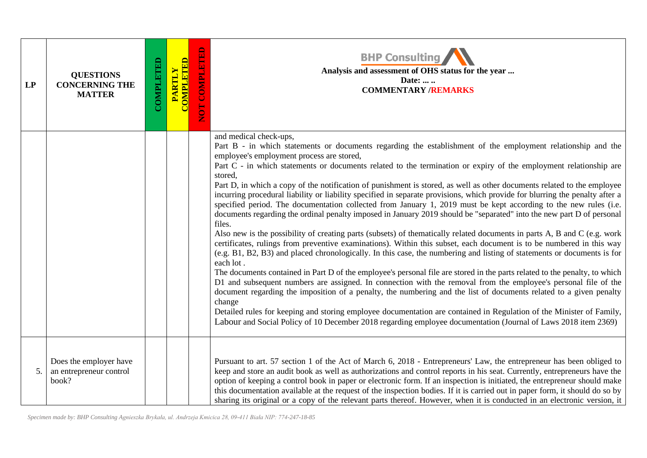| LP | <b>QUESTIONS</b><br><b>CONCERNING THE</b><br><b>MATTER</b> | COMPLETED | <b>COMPLETED</b><br>PARTLY | NOT COMPLETED | <b>BHP Consulting</b><br>Analysis and assessment of OHS status for the year<br>Date:<br><b>COMMENTARY /REMARKS</b>                                                                                                                                                                                                                                                                                                                                                                                                                                                                                                                                                                                                                                                                                                                                                                                                                                                                                                                                                                                                                                                                                                                                                                                                                                                                                                                                                                                                                                                                                                                                                                                                                                                                                                                                           |
|----|------------------------------------------------------------|-----------|----------------------------|---------------|--------------------------------------------------------------------------------------------------------------------------------------------------------------------------------------------------------------------------------------------------------------------------------------------------------------------------------------------------------------------------------------------------------------------------------------------------------------------------------------------------------------------------------------------------------------------------------------------------------------------------------------------------------------------------------------------------------------------------------------------------------------------------------------------------------------------------------------------------------------------------------------------------------------------------------------------------------------------------------------------------------------------------------------------------------------------------------------------------------------------------------------------------------------------------------------------------------------------------------------------------------------------------------------------------------------------------------------------------------------------------------------------------------------------------------------------------------------------------------------------------------------------------------------------------------------------------------------------------------------------------------------------------------------------------------------------------------------------------------------------------------------------------------------------------------------------------------------------------------------|
|    |                                                            |           |                            |               | and medical check-ups,<br>Part B - in which statements or documents regarding the establishment of the employment relationship and the<br>employee's employment process are stored,<br>Part C - in which statements or documents related to the termination or expiry of the employment relationship are<br>stored,<br>Part D, in which a copy of the notification of punishment is stored, as well as other documents related to the employee<br>incurring procedural liability or liability specified in separate provisions, which provide for blurring the penalty after a<br>specified period. The documentation collected from January 1, 2019 must be kept according to the new rules (i.e.<br>documents regarding the ordinal penalty imposed in January 2019 should be "separated" into the new part D of personal<br>files.<br>Also new is the possibility of creating parts (subsets) of thematically related documents in parts A, B and C (e.g. work<br>certificates, rulings from preventive examinations). Within this subset, each document is to be numbered in this way<br>(e.g. B1, B2, B3) and placed chronologically. In this case, the numbering and listing of statements or documents is for<br>each lot.<br>The documents contained in Part D of the employee's personal file are stored in the parts related to the penalty, to which<br>D1 and subsequent numbers are assigned. In connection with the removal from the employee's personal file of the<br>document regarding the imposition of a penalty, the numbering and the list of documents related to a given penalty<br>change<br>Detailed rules for keeping and storing employee documentation are contained in Regulation of the Minister of Family,<br>Labour and Social Policy of 10 December 2018 regarding employee documentation (Journal of Laws 2018 item 2369) |
| 5. | Does the employer have<br>an entrepreneur control<br>book? |           |                            |               | Pursuant to art. 57 section 1 of the Act of March 6, 2018 - Entrepreneurs' Law, the entrepreneur has been obliged to<br>keep and store an audit book as well as authorizations and control reports in his seat. Currently, entrepreneurs have the<br>option of keeping a control book in paper or electronic form. If an inspection is initiated, the entrepreneur should make<br>this documentation available at the request of the inspection bodies. If it is carried out in paper form, it should do so by<br>sharing its original or a copy of the relevant parts thereof. However, when it is conducted in an electronic version, it                                                                                                                                                                                                                                                                                                                                                                                                                                                                                                                                                                                                                                                                                                                                                                                                                                                                                                                                                                                                                                                                                                                                                                                                                   |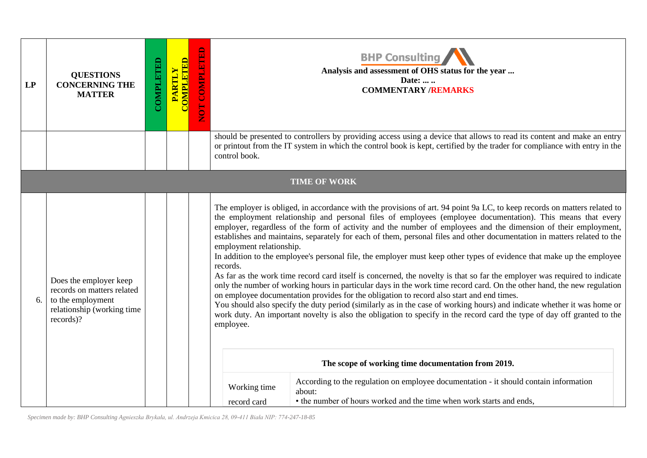| LP | <b>QUESTIONS</b><br><b>CONCERNING THE</b><br><b>MATTER</b>                                                           | COMPLETED | <b>COMPLETED</b><br>PARTLY | NOT COMPLETED |                                                                                  | <b>BHP Consulting</b><br>Analysis and assessment of OHS status for the year<br>Date:<br><b>COMMENTARY /REMARKS</b>                                                                                                                                                                                                                                                                                                                                                                                                                                                                                                                                                                                                                                                                                                                                                                                                                                                                                                                                                                                                                                                                                                                                                                                                                                                                                                                                          |
|----|----------------------------------------------------------------------------------------------------------------------|-----------|----------------------------|---------------|----------------------------------------------------------------------------------|-------------------------------------------------------------------------------------------------------------------------------------------------------------------------------------------------------------------------------------------------------------------------------------------------------------------------------------------------------------------------------------------------------------------------------------------------------------------------------------------------------------------------------------------------------------------------------------------------------------------------------------------------------------------------------------------------------------------------------------------------------------------------------------------------------------------------------------------------------------------------------------------------------------------------------------------------------------------------------------------------------------------------------------------------------------------------------------------------------------------------------------------------------------------------------------------------------------------------------------------------------------------------------------------------------------------------------------------------------------------------------------------------------------------------------------------------------------|
|    |                                                                                                                      |           |                            |               | control book.                                                                    | should be presented to controllers by providing access using a device that allows to read its content and make an entry<br>or printout from the IT system in which the control book is kept, certified by the trader for compliance with entry in the                                                                                                                                                                                                                                                                                                                                                                                                                                                                                                                                                                                                                                                                                                                                                                                                                                                                                                                                                                                                                                                                                                                                                                                                       |
|    |                                                                                                                      |           |                            |               |                                                                                  | <b>TIME OF WORK</b>                                                                                                                                                                                                                                                                                                                                                                                                                                                                                                                                                                                                                                                                                                                                                                                                                                                                                                                                                                                                                                                                                                                                                                                                                                                                                                                                                                                                                                         |
| 6. | Does the employer keep<br>records on matters related<br>to the employment<br>relationship (working time<br>records)? |           |                            |               | employment relationship.<br>records.<br>employee.<br>Working time<br>record card | The employer is obliged, in accordance with the provisions of art. 94 point 9a LC, to keep records on matters related to<br>the employment relationship and personal files of employees (employee documentation). This means that every<br>employer, regardless of the form of activity and the number of employees and the dimension of their employment,<br>establishes and maintains, separately for each of them, personal files and other documentation in matters related to the<br>In addition to the employee's personal file, the employer must keep other types of evidence that make up the employee<br>As far as the work time record card itself is concerned, the novelty is that so far the employer was required to indicate<br>only the number of working hours in particular days in the work time record card. On the other hand, the new regulation<br>on employee documentation provides for the obligation to record also start and end times.<br>You should also specify the duty period (similarly as in the case of working hours) and indicate whether it was home or<br>work duty. An important novelty is also the obligation to specify in the record card the type of day off granted to the<br>The scope of working time documentation from 2019.<br>According to the regulation on employee documentation - it should contain information<br>about:<br>• the number of hours worked and the time when work starts and ends, |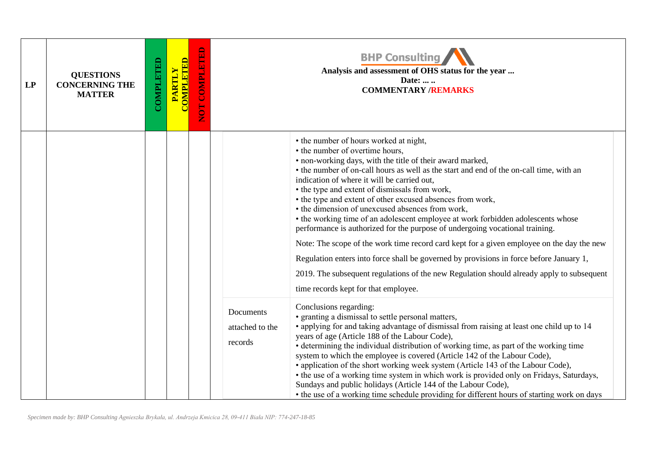| LP | <b>QUESTIONS</b><br><b>CONCERNING THE</b><br><b>MATTER</b> | COMPLETED | <b>COMPLETED</b><br><b>PARTLY</b> | <b>COMPLETED</b><br>ECN |                                         | <b>BHP Consulting</b><br>Analysis and assessment of OHS status for the year<br>Date:<br><b>COMMENTARY /REMARKS</b>                                                                                                                                                                                                                                                                                                                                                                                                                                                                                                                                                                                                                                                                                                                                                                                                                                    |
|----|------------------------------------------------------------|-----------|-----------------------------------|-------------------------|-----------------------------------------|-------------------------------------------------------------------------------------------------------------------------------------------------------------------------------------------------------------------------------------------------------------------------------------------------------------------------------------------------------------------------------------------------------------------------------------------------------------------------------------------------------------------------------------------------------------------------------------------------------------------------------------------------------------------------------------------------------------------------------------------------------------------------------------------------------------------------------------------------------------------------------------------------------------------------------------------------------|
|    |                                                            |           |                                   |                         |                                         | • the number of hours worked at night,<br>• the number of overtime hours,<br>• non-working days, with the title of their award marked,<br>• the number of on-call hours as well as the start and end of the on-call time, with an<br>indication of where it will be carried out,<br>• the type and extent of dismissals from work,<br>• the type and extent of other excused absences from work,<br>• the dimension of unexcused absences from work,<br>• the working time of an adolescent employee at work forbidden adolescents whose<br>performance is authorized for the purpose of undergoing vocational training.<br>Note: The scope of the work time record card kept for a given employee on the day the new<br>Regulation enters into force shall be governed by provisions in force before January 1,<br>2019. The subsequent regulations of the new Regulation should already apply to subsequent<br>time records kept for that employee. |
|    |                                                            |           |                                   |                         | Documents<br>attached to the<br>records | Conclusions regarding:<br>• granting a dismissal to settle personal matters,<br>• applying for and taking advantage of dismissal from raising at least one child up to 14<br>years of age (Article 188 of the Labour Code),<br>• determining the individual distribution of working time, as part of the working time<br>system to which the employee is covered (Article 142 of the Labour Code),<br>• application of the short working week system (Article 143 of the Labour Code),<br>• the use of a working time system in which work is provided only on Fridays, Saturdays,<br>Sundays and public holidays (Article 144 of the Labour Code),<br>• the use of a working time schedule providing for different hours of starting work on days                                                                                                                                                                                                    |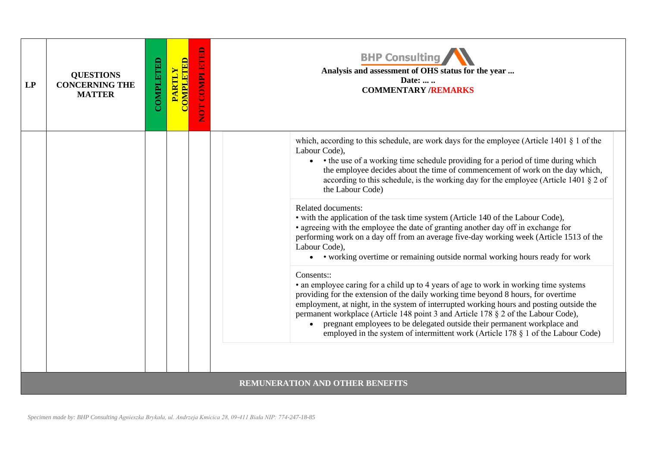| LP | <b>QUESTIONS</b><br><b>CONCERNING THE</b><br><b>MATTER</b> | COMPLETED | <b>COMPLETED</b><br><b>PARTLY</b> | <b>COMPLET</b><br>5 | <b>BHP Consulting</b><br>Analysis and assessment of OHS status for the year<br>Date:<br><b>COMMENTARY /REMARKS</b>                                                                                                                                                                                                                                                                                                                                                                                                                            |
|----|------------------------------------------------------------|-----------|-----------------------------------|---------------------|-----------------------------------------------------------------------------------------------------------------------------------------------------------------------------------------------------------------------------------------------------------------------------------------------------------------------------------------------------------------------------------------------------------------------------------------------------------------------------------------------------------------------------------------------|
|    |                                                            |           |                                   |                     | which, according to this schedule, are work days for the employee (Article 1401 $\S$ 1 of the<br>Labour Code),<br>• the use of a working time schedule providing for a period of time during which<br>the employee decides about the time of commencement of work on the day which,<br>according to this schedule, is the working day for the employee (Article 1401 $\S$ 2 of<br>the Labour Code)                                                                                                                                            |
|    |                                                            |           |                                   |                     | Related documents:<br>• with the application of the task time system (Article 140 of the Labour Code),<br>• agreeing with the employee the date of granting another day off in exchange for<br>performing work on a day off from an average five-day working week (Article 1513 of the<br>Labour Code),<br>• vorking overtime or remaining outside normal working hours ready for work                                                                                                                                                        |
|    |                                                            |           |                                   |                     | Consents::<br>• an employee caring for a child up to 4 years of age to work in working time systems<br>providing for the extension of the daily working time beyond 8 hours, for overtime<br>employment, at night, in the system of interrupted working hours and posting outside the<br>permanent workplace (Article 148 point 3 and Article 178 § 2 of the Labour Code),<br>pregnant employees to be delegated outside their permanent workplace and<br>employed in the system of intermittent work (Article 178 $\S$ 1 of the Labour Code) |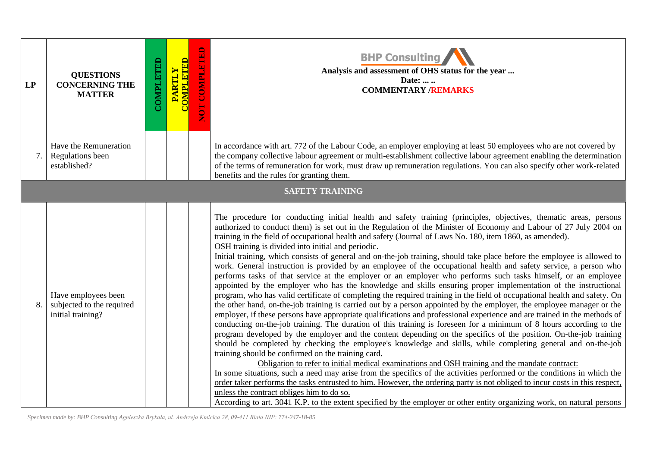| LP | <b>QUESTIONS</b><br><b>CONCERNING THE</b><br><b>MATTER</b>            | COMPLETED | <b>COMPLETED</b><br>PARTLY | NOT COMPLETED | <b>BHP Consulting</b><br>Analysis and assessment of OHS status for the year<br>Date:<br><b>COMMENTARY /REMARKS</b>                                                                                                                                                                                                                                                                                                                                                                                                                                                                                                                                                                                                                                                                                                                                                                                                                                                                                                                                                                                                                                                                                                                                                                                                                                                                                                                                                                                                                                                                                                                                                                                                                                                                                                                                                                                                                                                                                                                                                                                                                                                                                                                  |
|----|-----------------------------------------------------------------------|-----------|----------------------------|---------------|-------------------------------------------------------------------------------------------------------------------------------------------------------------------------------------------------------------------------------------------------------------------------------------------------------------------------------------------------------------------------------------------------------------------------------------------------------------------------------------------------------------------------------------------------------------------------------------------------------------------------------------------------------------------------------------------------------------------------------------------------------------------------------------------------------------------------------------------------------------------------------------------------------------------------------------------------------------------------------------------------------------------------------------------------------------------------------------------------------------------------------------------------------------------------------------------------------------------------------------------------------------------------------------------------------------------------------------------------------------------------------------------------------------------------------------------------------------------------------------------------------------------------------------------------------------------------------------------------------------------------------------------------------------------------------------------------------------------------------------------------------------------------------------------------------------------------------------------------------------------------------------------------------------------------------------------------------------------------------------------------------------------------------------------------------------------------------------------------------------------------------------------------------------------------------------------------------------------------------------|
| 7. | Have the Remuneration<br>Regulations been<br>established?             |           |                            |               | In accordance with art. 772 of the Labour Code, an employer employing at least 50 employees who are not covered by<br>the company collective labour agreement or multi-establishment collective labour agreement enabling the determination<br>of the terms of remuneration for work, must draw up remuneration regulations. You can also specify other work-related<br>benefits and the rules for granting them.                                                                                                                                                                                                                                                                                                                                                                                                                                                                                                                                                                                                                                                                                                                                                                                                                                                                                                                                                                                                                                                                                                                                                                                                                                                                                                                                                                                                                                                                                                                                                                                                                                                                                                                                                                                                                   |
|    |                                                                       |           |                            |               | <b>SAFETY TRAINING</b>                                                                                                                                                                                                                                                                                                                                                                                                                                                                                                                                                                                                                                                                                                                                                                                                                                                                                                                                                                                                                                                                                                                                                                                                                                                                                                                                                                                                                                                                                                                                                                                                                                                                                                                                                                                                                                                                                                                                                                                                                                                                                                                                                                                                              |
| 8. | Have employees been<br>subjected to the required<br>initial training? |           |                            |               | The procedure for conducting initial health and safety training (principles, objectives, thematic areas, persons<br>authorized to conduct them) is set out in the Regulation of the Minister of Economy and Labour of 27 July 2004 on<br>training in the field of occupational health and safety (Journal of Laws No. 180, item 1860, as amended).<br>OSH training is divided into initial and periodic.<br>Initial training, which consists of general and on-the-job training, should take place before the employee is allowed to<br>work. General instruction is provided by an employee of the occupational health and safety service, a person who<br>performs tasks of that service at the employer or an employer who performs such tasks himself, or an employee<br>appointed by the employer who has the knowledge and skills ensuring proper implementation of the instructional<br>program, who has valid certificate of completing the required training in the field of occupational health and safety. On<br>the other hand, on-the-job training is carried out by a person appointed by the employer, the employee manager or the<br>employer, if these persons have appropriate qualifications and professional experience and are trained in the methods of<br>conducting on-the-job training. The duration of this training is foreseen for a minimum of 8 hours according to the<br>program developed by the employer and the content depending on the specifics of the position. On-the-job training<br>should be completed by checking the employee's knowledge and skills, while completing general and on-the-job<br>training should be confirmed on the training card.<br>Obligation to refer to initial medical examinations and OSH training and the mandate contract:<br>In some situations, such a need may arise from the specifics of the activities performed or the conditions in which the<br>order taker performs the tasks entrusted to him. However, the ordering party is not obliged to incur costs in this respect,<br>unless the contract obliges him to do so.<br>According to art. 3041 K.P. to the extent specified by the employer or other entity organizing work, on natural persons |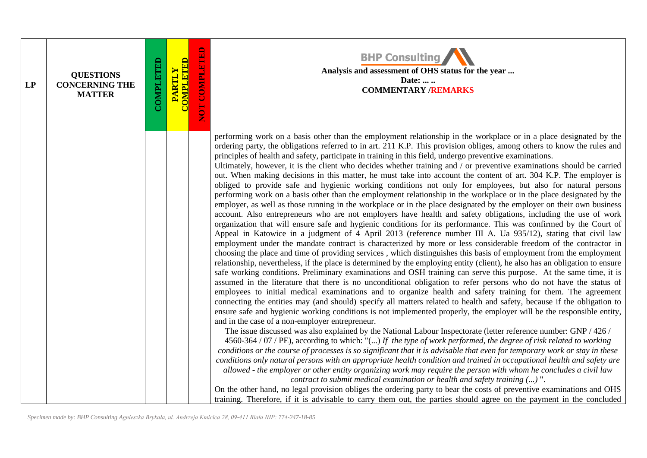| LP | <b>QUESTIONS</b><br><b>CONCERNING THE</b><br><b>MATTER</b> | COMPLETED | <b>COMPLETED</b><br><b>PARTLY</b> | NOT COMPLETED | <b>BHP Consulting</b><br>Analysis and assessment of OHS status for the year<br>Date:<br><b>COMMENTARY /REMARKS</b>                                                                                                                                                                                                                                                                                                                                                                                                                                                                                                                                                                                                                                                                                                                                                                                                                                                                                                                                                                                                                                                                                                                                                                                                                                                                                                                                                                                                                                                                                                                                                                                                                                                                                                                                                                                                                                                                                                                                                                                                                                                                                                                                                                                                                                                                                                                                                                                                                                                                                                                                                                                                                                                                                                                                                                                                                                                                                                                                                                                                                                                                                                                                                                                                                |
|----|------------------------------------------------------------|-----------|-----------------------------------|---------------|-----------------------------------------------------------------------------------------------------------------------------------------------------------------------------------------------------------------------------------------------------------------------------------------------------------------------------------------------------------------------------------------------------------------------------------------------------------------------------------------------------------------------------------------------------------------------------------------------------------------------------------------------------------------------------------------------------------------------------------------------------------------------------------------------------------------------------------------------------------------------------------------------------------------------------------------------------------------------------------------------------------------------------------------------------------------------------------------------------------------------------------------------------------------------------------------------------------------------------------------------------------------------------------------------------------------------------------------------------------------------------------------------------------------------------------------------------------------------------------------------------------------------------------------------------------------------------------------------------------------------------------------------------------------------------------------------------------------------------------------------------------------------------------------------------------------------------------------------------------------------------------------------------------------------------------------------------------------------------------------------------------------------------------------------------------------------------------------------------------------------------------------------------------------------------------------------------------------------------------------------------------------------------------------------------------------------------------------------------------------------------------------------------------------------------------------------------------------------------------------------------------------------------------------------------------------------------------------------------------------------------------------------------------------------------------------------------------------------------------------------------------------------------------------------------------------------------------------------------------------------------------------------------------------------------------------------------------------------------------------------------------------------------------------------------------------------------------------------------------------------------------------------------------------------------------------------------------------------------------------------------------------------------------------------------------------------------------|
|    |                                                            |           |                                   |               | performing work on a basis other than the employment relationship in the workplace or in a place designated by the<br>ordering party, the obligations referred to in art. 211 K.P. This provision obliges, among others to know the rules and<br>principles of health and safety, participate in training in this field, undergo preventive examinations.<br>Ultimately, however, it is the client who decides whether training and / or preventive examinations should be carried<br>out. When making decisions in this matter, he must take into account the content of art. 304 K.P. The employer is<br>obliged to provide safe and hygienic working conditions not only for employees, but also for natural persons<br>performing work on a basis other than the employment relationship in the workplace or in the place designated by the<br>employer, as well as those running in the workplace or in the place designated by the employer on their own business<br>account. Also entrepreneurs who are not employers have health and safety obligations, including the use of work<br>organization that will ensure safe and hygienic conditions for its performance. This was confirmed by the Court of<br>Appeal in Katowice in a judgment of 4 April 2013 (reference number III A. Ua 935/12), stating that civil law<br>employment under the mandate contract is characterized by more or less considerable freedom of the contractor in<br>choosing the place and time of providing services, which distinguishes this basis of employment from the employment<br>relationship, nevertheless, if the place is determined by the employing entity (client), he also has an obligation to ensure<br>safe working conditions. Preliminary examinations and OSH training can serve this purpose. At the same time, it is<br>assumed in the literature that there is no unconditional obligation to refer persons who do not have the status of<br>employees to initial medical examinations and to organize health and safety training for them. The agreement<br>connecting the entities may (and should) specify all matters related to health and safety, because if the obligation to<br>ensure safe and hygienic working conditions is not implemented properly, the employer will be the responsible entity,<br>and in the case of a non-employer entrepreneur.<br>The issue discussed was also explained by the National Labour Inspectorate (letter reference number: GNP / 426 /<br>4560-364 / 07 / PE), according to which: "() If the type of work performed, the degree of risk related to working<br>conditions or the course of processes is so significant that it is advisable that even for temporary work or stay in these<br>conditions only natural persons with an appropriate health condition and trained in occupational health and safety are<br>allowed - the employer or other entity organizing work may require the person with whom he concludes a civil law<br>contract to submit medical examination or health and safety training () ".<br>On the other hand, no legal provision obliges the ordering party to bear the costs of preventive examinations and OHS<br>training. Therefore, if it is advisable to carry them out, the parties should agree on the payment in the concluded |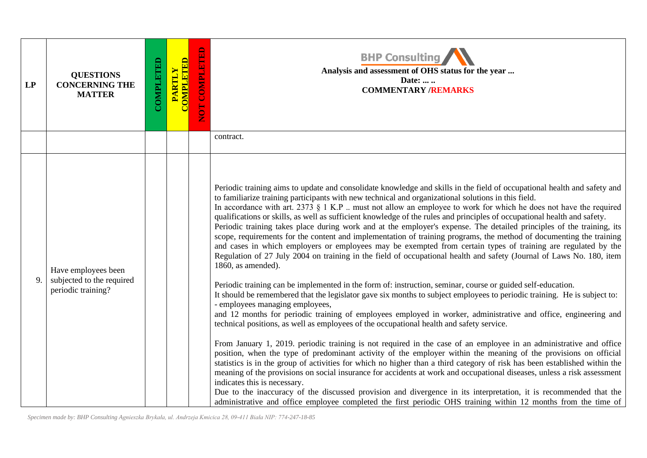| LP | <b>QUESTIONS</b><br><b>CONCERNING THE</b><br><b>MATTER</b>             | COMPLETED | <b>COMPLETED</b><br>PARTLY | NOT COMPLETED | <b>BHP Consulting</b><br>Analysis and assessment of OHS status for the year<br>Date:<br><b>COMMENTARY /REMARKS</b>                                                                                                                                                                                                                                                                                                                                                                                                                                                                                                                                                                                                                                                                                                                                                                                                                                                                                                                                                                                                                                                                                                                                                                                                                                                                                                                                                                                                                                                                                                                                                                                                                                                                                                                                                                                                                                                                                                                                                                                                                                                                                                                                                       |
|----|------------------------------------------------------------------------|-----------|----------------------------|---------------|--------------------------------------------------------------------------------------------------------------------------------------------------------------------------------------------------------------------------------------------------------------------------------------------------------------------------------------------------------------------------------------------------------------------------------------------------------------------------------------------------------------------------------------------------------------------------------------------------------------------------------------------------------------------------------------------------------------------------------------------------------------------------------------------------------------------------------------------------------------------------------------------------------------------------------------------------------------------------------------------------------------------------------------------------------------------------------------------------------------------------------------------------------------------------------------------------------------------------------------------------------------------------------------------------------------------------------------------------------------------------------------------------------------------------------------------------------------------------------------------------------------------------------------------------------------------------------------------------------------------------------------------------------------------------------------------------------------------------------------------------------------------------------------------------------------------------------------------------------------------------------------------------------------------------------------------------------------------------------------------------------------------------------------------------------------------------------------------------------------------------------------------------------------------------------------------------------------------------------------------------------------------------|
|    |                                                                        |           |                            |               | contract.                                                                                                                                                                                                                                                                                                                                                                                                                                                                                                                                                                                                                                                                                                                                                                                                                                                                                                                                                                                                                                                                                                                                                                                                                                                                                                                                                                                                                                                                                                                                                                                                                                                                                                                                                                                                                                                                                                                                                                                                                                                                                                                                                                                                                                                                |
| 9. | Have employees been<br>subjected to the required<br>periodic training? |           |                            |               | Periodic training aims to update and consolidate knowledge and skills in the field of occupational health and safety and<br>to familiarize training participants with new technical and organizational solutions in this field.<br>In accordance with art. 2373 $\S$ 1 K.P  must not allow an employee to work for which he does not have the required<br>qualifications or skills, as well as sufficient knowledge of the rules and principles of occupational health and safety.<br>Periodic training takes place during work and at the employer's expense. The detailed principles of the training, its<br>scope, requirements for the content and implementation of training programs, the method of documenting the training<br>and cases in which employers or employees may be exempted from certain types of training are regulated by the<br>Regulation of 27 July 2004 on training in the field of occupational health and safety (Journal of Laws No. 180, item<br>1860, as amended).<br>Periodic training can be implemented in the form of: instruction, seminar, course or guided self-education.<br>It should be remembered that the legislator gave six months to subject employees to periodic training. He is subject to:<br>- employees managing employees,<br>and 12 months for periodic training of employees employed in worker, administrative and office, engineering and<br>technical positions, as well as employees of the occupational health and safety service.<br>From January 1, 2019. periodic training is not required in the case of an employee in an administrative and office<br>position, when the type of predominant activity of the employer within the meaning of the provisions on official<br>statistics is in the group of activities for which no higher than a third category of risk has been established within the<br>meaning of the provisions on social insurance for accidents at work and occupational diseases, unless a risk assessment<br>indicates this is necessary.<br>Due to the inaccuracy of the discussed provision and divergence in its interpretation, it is recommended that the<br>administrative and office employee completed the first periodic OHS training within 12 months from the time of |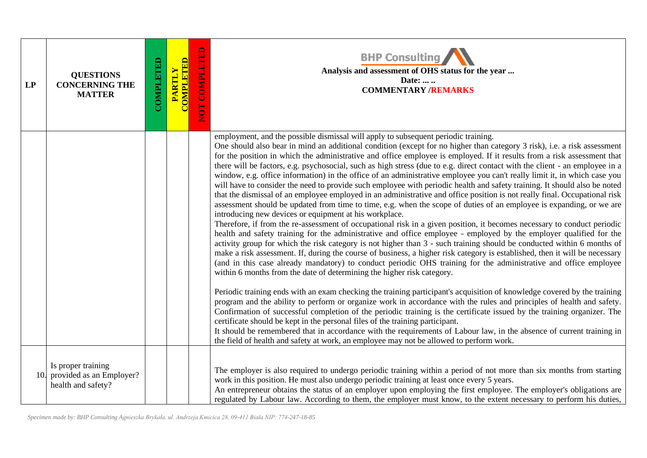| LP | <b>QUESTIONS</b><br><b>CONCERNING THE</b><br><b>MATTER</b>               | COMPLETED | <b>COMPLETED</b><br><b>PARTLY</b> | <b>COMPLETED</b><br><b>FOR</b> | <b>BHP Consulting</b><br>Analysis and assessment of OHS status for the year<br>Date:<br><b>COMMENTARY /REMARKS</b>                                                                                                                                                                                                                                                                                                                                                                                                                                                                                                                                                                                                                                                                                                                                                                                                                                                                                                                                                                                                                                                                                                                                                                                                                                                                                                                                                                                                                                                                                                                                                                                                                                                                                                                                                                                                                                                                                                                                                                                                                                                                                                                                                                                                                                                                                                                               |
|----|--------------------------------------------------------------------------|-----------|-----------------------------------|--------------------------------|--------------------------------------------------------------------------------------------------------------------------------------------------------------------------------------------------------------------------------------------------------------------------------------------------------------------------------------------------------------------------------------------------------------------------------------------------------------------------------------------------------------------------------------------------------------------------------------------------------------------------------------------------------------------------------------------------------------------------------------------------------------------------------------------------------------------------------------------------------------------------------------------------------------------------------------------------------------------------------------------------------------------------------------------------------------------------------------------------------------------------------------------------------------------------------------------------------------------------------------------------------------------------------------------------------------------------------------------------------------------------------------------------------------------------------------------------------------------------------------------------------------------------------------------------------------------------------------------------------------------------------------------------------------------------------------------------------------------------------------------------------------------------------------------------------------------------------------------------------------------------------------------------------------------------------------------------------------------------------------------------------------------------------------------------------------------------------------------------------------------------------------------------------------------------------------------------------------------------------------------------------------------------------------------------------------------------------------------------------------------------------------------------------------------------------------------------|
|    |                                                                          |           |                                   |                                | employment, and the possible dismissal will apply to subsequent periodic training.<br>One should also bear in mind an additional condition (except for no higher than category 3 risk), i.e. a risk assessment<br>for the position in which the administrative and office employee is employed. If it results from a risk assessment that<br>there will be factors, e.g. psychosocial, such as high stress (due to e.g. direct contact with the client - an employee in a<br>window, e.g. office information) in the office of an administrative employee you can't really limit it, in which case you<br>will have to consider the need to provide such employee with periodic health and safety training. It should also be noted<br>that the dismissal of an employee employed in an administrative and office position is not really final. Occupational risk<br>assessment should be updated from time to time, e.g. when the scope of duties of an employee is expanding, or we are<br>introducing new devices or equipment at his workplace.<br>Therefore, if from the re-assessment of occupational risk in a given position, it becomes necessary to conduct periodic<br>health and safety training for the administrative and office employee - employed by the employer qualified for the<br>activity group for which the risk category is not higher than 3 - such training should be conducted within 6 months of<br>make a risk assessment. If, during the course of business, a higher risk category is established, then it will be necessary<br>(and in this case already mandatory) to conduct periodic OHS training for the administrative and office employee<br>within 6 months from the date of determining the higher risk category.<br>Periodic training ends with an exam checking the training participant's acquisition of knowledge covered by the training<br>program and the ability to perform or organize work in accordance with the rules and principles of health and safety.<br>Confirmation of successful completion of the periodic training is the certificate issued by the training organizer. The<br>certificate should be kept in the personal files of the training participant.<br>It should be remembered that in accordance with the requirements of Labour law, in the absence of current training in<br>the field of health and safety at work, an employee may not be allowed to perform work. |
|    | Is proper training<br>10. provided as an Employer?<br>health and safety? |           |                                   |                                | The employer is also required to undergo periodic training within a period of not more than six months from starting<br>work in this position. He must also undergo periodic training at least once every 5 years.<br>An entrepreneur obtains the status of an employer upon employing the first employee. The employer's obligations are<br>regulated by Labour law. According to them, the employer must know, to the extent necessary to perform his duties,                                                                                                                                                                                                                                                                                                                                                                                                                                                                                                                                                                                                                                                                                                                                                                                                                                                                                                                                                                                                                                                                                                                                                                                                                                                                                                                                                                                                                                                                                                                                                                                                                                                                                                                                                                                                                                                                                                                                                                                  |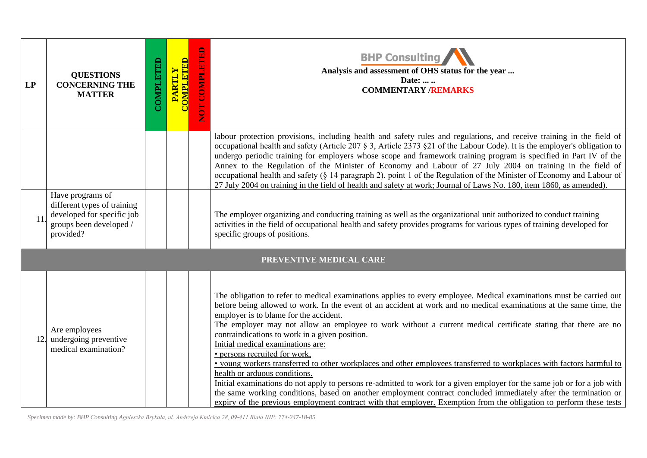| LP  | <b>QUESTIONS</b><br><b>CONCERNING THE</b><br><b>MATTER</b>                                                            | COMPLETED | <b>COMPLETED</b><br><b>PARTLY</b> | NOT COMPLETED | <b>BHP Consulting</b><br>Analysis and assessment of OHS status for the year<br>Date:<br><b>COMMENTARY /REMARKS</b>                                                                                                                                                                                                                                                                                                                                                                                                                                                                                                                                                                                                                                                                                                                                                                                                                                                                                                                                              |
|-----|-----------------------------------------------------------------------------------------------------------------------|-----------|-----------------------------------|---------------|-----------------------------------------------------------------------------------------------------------------------------------------------------------------------------------------------------------------------------------------------------------------------------------------------------------------------------------------------------------------------------------------------------------------------------------------------------------------------------------------------------------------------------------------------------------------------------------------------------------------------------------------------------------------------------------------------------------------------------------------------------------------------------------------------------------------------------------------------------------------------------------------------------------------------------------------------------------------------------------------------------------------------------------------------------------------|
|     |                                                                                                                       |           |                                   |               | labour protection provisions, including health and safety rules and regulations, and receive training in the field of<br>occupational health and safety (Article 207 § 3, Article 2373 §21 of the Labour Code). It is the employer's obligation to<br>undergo periodic training for employers whose scope and framework training program is specified in Part IV of the<br>Annex to the Regulation of the Minister of Economy and Labour of 27 July 2004 on training in the field of<br>occupational health and safety (§ 14 paragraph 2). point 1 of the Regulation of the Minister of Economy and Labour of<br>27 July 2004 on training in the field of health and safety at work; Journal of Laws No. 180, item 1860, as amended).                                                                                                                                                                                                                                                                                                                           |
| 11  | Have programs of<br>different types of training<br>developed for specific job<br>groups been developed /<br>provided? |           |                                   |               | The employer organizing and conducting training as well as the organizational unit authorized to conduct training<br>activities in the field of occupational health and safety provides programs for various types of training developed for<br>specific groups of positions.                                                                                                                                                                                                                                                                                                                                                                                                                                                                                                                                                                                                                                                                                                                                                                                   |
|     |                                                                                                                       |           |                                   |               | PREVENTIVE MEDICAL CARE                                                                                                                                                                                                                                                                                                                                                                                                                                                                                                                                                                                                                                                                                                                                                                                                                                                                                                                                                                                                                                         |
| 12. | Are employees<br>undergoing preventive<br>medical examination?                                                        |           |                                   |               | The obligation to refer to medical examinations applies to every employee. Medical examinations must be carried out<br>before being allowed to work. In the event of an accident at work and no medical examinations at the same time, the<br>employer is to blame for the accident.<br>The employer may not allow an employee to work without a current medical certificate stating that there are no<br>contraindications to work in a given position.<br>Initial medical examinations are:<br>· persons recruited for work,<br>. young workers transferred to other workplaces and other employees transferred to workplaces with factors harmful to<br>health or arduous conditions.<br>Initial examinations do not apply to persons re-admitted to work for a given employer for the same job or for a job with<br>the same working conditions, based on another employment contract concluded immediately after the termination or<br>expiry of the previous employment contract with that employer. Exemption from the obligation to perform these tests |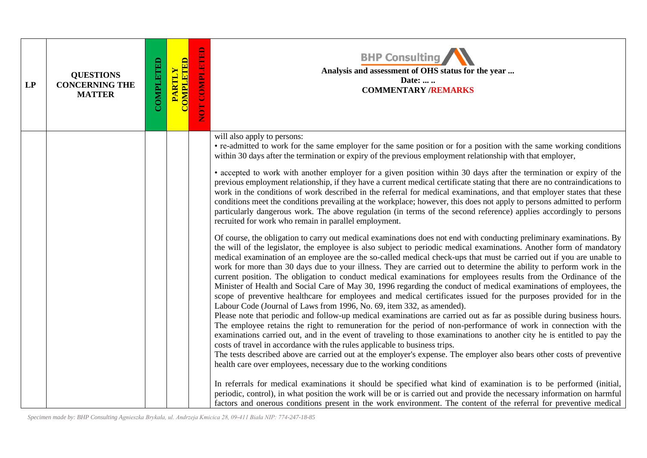| LP | <b>QUESTIONS</b><br><b>CONCERNING THE</b><br><b>MATTER</b> | <b>COMPLETED</b> | PARTLY<br>COMPLETED | NOT COMPLETED | <b>BHP Consulting</b><br>Analysis and assessment of OHS status for the year<br>Date:<br><b>COMMENTARY /REMARKS</b>                                                                                                                                                                                                                                                                                                                                                                                                                                                                                                                                                                                                                                                                                                                                                                                                                                                                                                                                                                                                                                                                                                                                                                                                                                                                                                                                                                                                                                                                            |
|----|------------------------------------------------------------|------------------|---------------------|---------------|-----------------------------------------------------------------------------------------------------------------------------------------------------------------------------------------------------------------------------------------------------------------------------------------------------------------------------------------------------------------------------------------------------------------------------------------------------------------------------------------------------------------------------------------------------------------------------------------------------------------------------------------------------------------------------------------------------------------------------------------------------------------------------------------------------------------------------------------------------------------------------------------------------------------------------------------------------------------------------------------------------------------------------------------------------------------------------------------------------------------------------------------------------------------------------------------------------------------------------------------------------------------------------------------------------------------------------------------------------------------------------------------------------------------------------------------------------------------------------------------------------------------------------------------------------------------------------------------------|
|    |                                                            |                  |                     |               | will also apply to persons:<br>• re-admitted to work for the same employer for the same position or for a position with the same working conditions<br>within 30 days after the termination or expiry of the previous employment relationship with that employer,<br>• accepted to work with another employer for a given position within 30 days after the termination or expiry of the<br>previous employment relationship, if they have a current medical certificate stating that there are no contraindications to<br>work in the conditions of work described in the referral for medical examinations, and that employer states that these<br>conditions meet the conditions prevailing at the workplace; however, this does not apply to persons admitted to perform<br>particularly dangerous work. The above regulation (in terms of the second reference) applies accordingly to persons<br>recruited for work who remain in parallel employment.                                                                                                                                                                                                                                                                                                                                                                                                                                                                                                                                                                                                                                  |
|    |                                                            |                  |                     |               | Of course, the obligation to carry out medical examinations does not end with conducting preliminary examinations. By<br>the will of the legislator, the employee is also subject to periodic medical examinations. Another form of mandatory<br>medical examination of an employee are the so-called medical check-ups that must be carried out if you are unable to<br>work for more than 30 days due to your illness. They are carried out to determine the ability to perform work in the<br>current position. The obligation to conduct medical examinations for employees results from the Ordinance of the<br>Minister of Health and Social Care of May 30, 1996 regarding the conduct of medical examinations of employees, the<br>scope of preventive healthcare for employees and medical certificates issued for the purposes provided for in the<br>Labour Code (Journal of Laws from 1996, No. 69, item 332, as amended).<br>Please note that periodic and follow-up medical examinations are carried out as far as possible during business hours.<br>The employee retains the right to remuneration for the period of non-performance of work in connection with the<br>examinations carried out, and in the event of traveling to those examinations to another city he is entitled to pay the<br>costs of travel in accordance with the rules applicable to business trips.<br>The tests described above are carried out at the employer's expense. The employer also bears other costs of preventive<br>health care over employees, necessary due to the working conditions |
|    |                                                            |                  |                     |               | In referrals for medical examinations it should be specified what kind of examination is to be performed (initial,<br>periodic, control), in what position the work will be or is carried out and provide the necessary information on harmful<br>factors and onerous conditions present in the work environment. The content of the referral for preventive medical                                                                                                                                                                                                                                                                                                                                                                                                                                                                                                                                                                                                                                                                                                                                                                                                                                                                                                                                                                                                                                                                                                                                                                                                                          |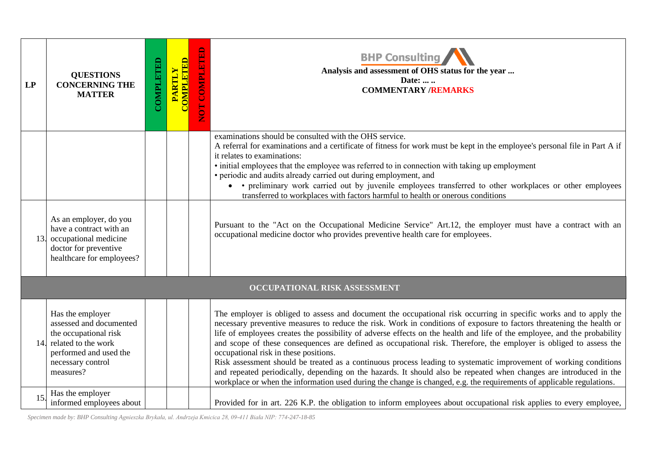| LP  | <b>QUESTIONS</b><br><b>CONCERNING THE</b><br><b>MATTER</b>                                                                                              | COMPLETED | <b>COMPLETED</b><br>PARTLY | <b>OT COMPLETED</b> | <b>BHP Consulting</b><br>Analysis and assessment of OHS status for the year<br>Date:<br><b>COMMENTARY /REMARKS</b>                                                                                                                                                                                                                                                                                                                                                                                                                                                                                                                                                                                                                                                                                                                                                                                        |
|-----|---------------------------------------------------------------------------------------------------------------------------------------------------------|-----------|----------------------------|---------------------|-----------------------------------------------------------------------------------------------------------------------------------------------------------------------------------------------------------------------------------------------------------------------------------------------------------------------------------------------------------------------------------------------------------------------------------------------------------------------------------------------------------------------------------------------------------------------------------------------------------------------------------------------------------------------------------------------------------------------------------------------------------------------------------------------------------------------------------------------------------------------------------------------------------|
|     |                                                                                                                                                         |           |                            |                     | examinations should be consulted with the OHS service.<br>A referral for examinations and a certificate of fitness for work must be kept in the employee's personal file in Part A if<br>it relates to examinations:<br>• initial employees that the employee was referred to in connection with taking up employment<br>• periodic and audits already carried out during employment, and<br>• • preliminary work carried out by juvenile employees transferred to other workplaces or other employees<br>transferred to workplaces with factors harmful to health or onerous conditions                                                                                                                                                                                                                                                                                                                  |
| 13. | As an employer, do you<br>have a contract with an<br>occupational medicine<br>doctor for preventive<br>healthcare for employees?                        |           |                            |                     | Pursuant to the "Act on the Occupational Medicine Service" Art.12, the employer must have a contract with an<br>occupational medicine doctor who provides preventive health care for employees.                                                                                                                                                                                                                                                                                                                                                                                                                                                                                                                                                                                                                                                                                                           |
|     |                                                                                                                                                         |           |                            |                     | OCCUPATIONAL RISK ASSESSMENT                                                                                                                                                                                                                                                                                                                                                                                                                                                                                                                                                                                                                                                                                                                                                                                                                                                                              |
| 14. | Has the employer<br>assessed and documented<br>the occupational risk<br>related to the work<br>performed and used the<br>necessary control<br>measures? |           |                            |                     | The employer is obliged to assess and document the occupational risk occurring in specific works and to apply the<br>necessary preventive measures to reduce the risk. Work in conditions of exposure to factors threatening the health or<br>life of employees creates the possibility of adverse effects on the health and life of the employee, and the probability<br>and scope of these consequences are defined as occupational risk. Therefore, the employer is obliged to assess the<br>occupational risk in these positions.<br>Risk assessment should be treated as a continuous process leading to systematic improvement of working conditions<br>and repeated periodically, depending on the hazards. It should also be repeated when changes are introduced in the<br>workplace or when the information used during the change is changed, e.g. the requirements of applicable regulations. |
| 15. | Has the employer<br>informed employees about                                                                                                            |           |                            |                     | Provided for in art. 226 K.P. the obligation to inform employees about occupational risk applies to every employee,                                                                                                                                                                                                                                                                                                                                                                                                                                                                                                                                                                                                                                                                                                                                                                                       |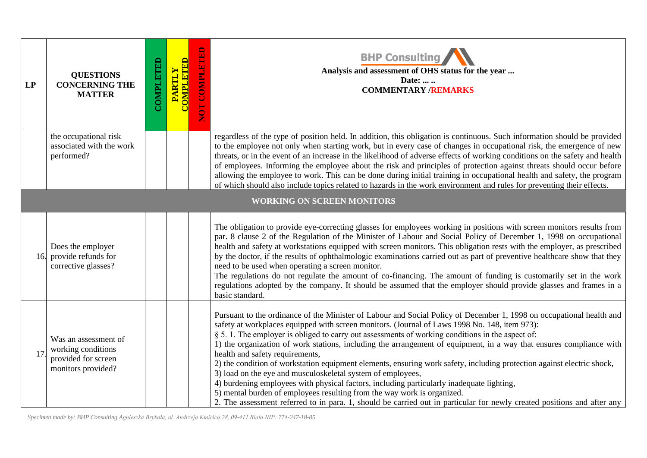| LP | <b>QUESTIONS</b><br><b>CONCERNING THE</b><br><b>MATTER</b>                              | COMPLETED | <b>COMPLETED</b><br>PARTLY | NOT COMPLETED | <b>BHP Consulting</b><br>Analysis and assessment of OHS status for the year<br>Date:<br><b>COMMENTARY /REMARKS</b>                                                                                                                                                                                                                                                                                                                                                                                                                                                                                                                                                                                                                                                                                                                                                                                                                                                             |
|----|-----------------------------------------------------------------------------------------|-----------|----------------------------|---------------|--------------------------------------------------------------------------------------------------------------------------------------------------------------------------------------------------------------------------------------------------------------------------------------------------------------------------------------------------------------------------------------------------------------------------------------------------------------------------------------------------------------------------------------------------------------------------------------------------------------------------------------------------------------------------------------------------------------------------------------------------------------------------------------------------------------------------------------------------------------------------------------------------------------------------------------------------------------------------------|
|    | the occupational risk<br>associated with the work<br>performed?                         |           |                            |               | regardless of the type of position held. In addition, this obligation is continuous. Such information should be provided<br>to the employee not only when starting work, but in every case of changes in occupational risk, the emergence of new<br>threats, or in the event of an increase in the likelihood of adverse effects of working conditions on the safety and health<br>of employees. Informing the employee about the risk and principles of protection against threats should occur before<br>allowing the employee to work. This can be done during initial training in occupational health and safety, the program<br>of which should also include topics related to hazards in the work environment and rules for preventing their effects.                                                                                                                                                                                                                    |
|    |                                                                                         |           |                            |               | <b>WORKING ON SCREEN MONITORS</b>                                                                                                                                                                                                                                                                                                                                                                                                                                                                                                                                                                                                                                                                                                                                                                                                                                                                                                                                              |
|    | Does the employer<br>16. provide refunds for<br>corrective glasses?                     |           |                            |               | The obligation to provide eye-correcting glasses for employees working in positions with screen monitors results from<br>par. 8 clause 2 of the Regulation of the Minister of Labour and Social Policy of December 1, 1998 on occupational<br>health and safety at workstations equipped with screen monitors. This obligation rests with the employer, as prescribed<br>by the doctor, if the results of ophthalmologic examinations carried out as part of preventive healthcare show that they<br>need to be used when operating a screen monitor.<br>The regulations do not regulate the amount of co-financing. The amount of funding is customarily set in the work<br>regulations adopted by the company. It should be assumed that the employer should provide glasses and frames in a<br>basic standard.                                                                                                                                                              |
| 17 | Was an assessment of<br>working conditions<br>provided for screen<br>monitors provided? |           |                            |               | Pursuant to the ordinance of the Minister of Labour and Social Policy of December 1, 1998 on occupational health and<br>safety at workplaces equipped with screen monitors. (Journal of Laws 1998 No. 148, item 973):<br>§ 5.1. The employer is obliged to carry out assessments of working conditions in the aspect of:<br>1) the organization of work stations, including the arrangement of equipment, in a way that ensures compliance with<br>health and safety requirements,<br>2) the condition of workstation equipment elements, ensuring work safety, including protection against electric shock,<br>3) load on the eye and musculoskeletal system of employees,<br>4) burdening employees with physical factors, including particularly inadequate lighting,<br>5) mental burden of employees resulting from the way work is organized.<br>2. The assessment referred to in para. 1, should be carried out in particular for newly created positions and after any |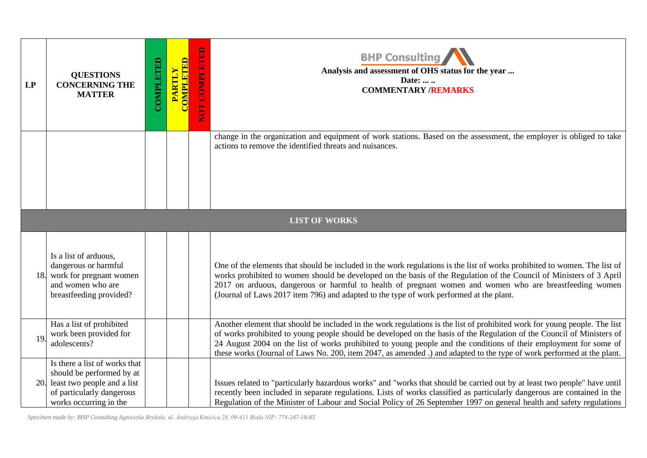| LP | <b>QUESTIONS</b><br><b>CONCERNING THE</b><br><b>MATTER</b>                                                                                           | <b>COMPLETED</b> | PARTLY<br>COMPLETED | $\mathbf{E}$<br>NOT COMPLET | <b>BHP Consulting</b><br>Analysis and assessment of OHS status for the year<br>Date:<br><b>COMMENTARY /REMARKS</b>                                                                                                                                                                                                                                                                                                                                                                                |
|----|------------------------------------------------------------------------------------------------------------------------------------------------------|------------------|---------------------|-----------------------------|---------------------------------------------------------------------------------------------------------------------------------------------------------------------------------------------------------------------------------------------------------------------------------------------------------------------------------------------------------------------------------------------------------------------------------------------------------------------------------------------------|
|    |                                                                                                                                                      |                  |                     |                             | change in the organization and equipment of work stations. Based on the assessment, the employer is obliged to take<br>actions to remove the identified threats and nuisances.                                                                                                                                                                                                                                                                                                                    |
|    |                                                                                                                                                      |                  |                     |                             | <b>LIST OF WORKS</b>                                                                                                                                                                                                                                                                                                                                                                                                                                                                              |
|    | Is a list of arduous,<br>dangerous or harmful<br>18. work for pregnant women<br>and women who are<br>breastfeeding provided?                         |                  |                     |                             | One of the elements that should be included in the work regulations is the list of works prohibited to women. The list of<br>works prohibited to women should be developed on the basis of the Regulation of the Council of Ministers of 3 April<br>2017 on arduous, dangerous or harmful to health of pregnant women and women who are breastfeeding women<br>(Journal of Laws 2017 item 796) and adapted to the type of work performed at the plant.                                            |
| 19 | Has a list of prohibited<br>work been provided for<br>adolescents?                                                                                   |                  |                     |                             | Another element that should be included in the work regulations is the list of prohibited work for young people. The list<br>of works prohibited to young people should be developed on the basis of the Regulation of the Council of Ministers of<br>24 August 2004 on the list of works prohibited to young people and the conditions of their employment for some of<br>these works (Journal of Laws No. 200, item 2047, as amended .) and adapted to the type of work performed at the plant. |
|    | Is there a list of works that<br>should be performed by at<br>20. least two people and a list<br>of particularly dangerous<br>works occurring in the |                  |                     |                             | Issues related to "particularly hazardous works" and "works that should be carried out by at least two people" have until<br>recently been included in separate regulations. Lists of works classified as particularly dangerous are contained in the<br>Regulation of the Minister of Labour and Social Policy of 26 September 1997 on general health and safety regulations                                                                                                                     |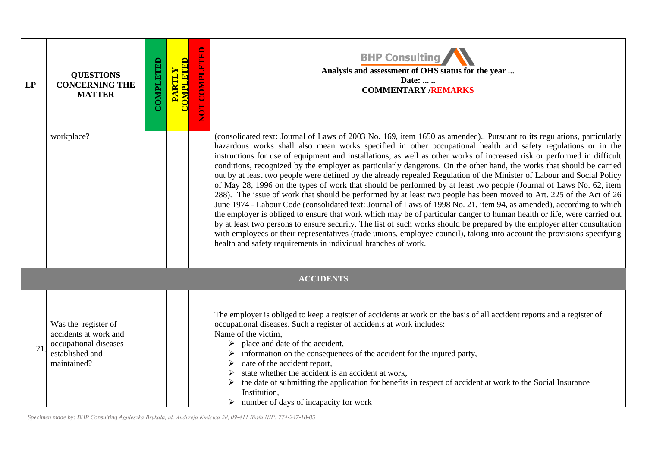| LP | <b>QUESTIONS</b><br><b>CONCERNING THE</b><br><b>MATTER</b>                                              | COMPLETED | <b>COMPLETED</b><br><b>PARTLY</b> | NOT COMPLETED | <b>BHP Consulting</b><br>Analysis and assessment of OHS status for the year<br>Date:<br><b>COMMENTARY /REMARKS</b>                                                                                                                                                                                                                                                                                                                                                                                                                                                                                                                                                                                                                                                                                                                                                                                                                                                                                                                                                                                                                                                                                                                                                                                                                                                                                                                           |
|----|---------------------------------------------------------------------------------------------------------|-----------|-----------------------------------|---------------|----------------------------------------------------------------------------------------------------------------------------------------------------------------------------------------------------------------------------------------------------------------------------------------------------------------------------------------------------------------------------------------------------------------------------------------------------------------------------------------------------------------------------------------------------------------------------------------------------------------------------------------------------------------------------------------------------------------------------------------------------------------------------------------------------------------------------------------------------------------------------------------------------------------------------------------------------------------------------------------------------------------------------------------------------------------------------------------------------------------------------------------------------------------------------------------------------------------------------------------------------------------------------------------------------------------------------------------------------------------------------------------------------------------------------------------------|
|    | workplace?                                                                                              |           |                                   |               | (consolidated text: Journal of Laws of 2003 No. 169, item 1650 as amended) Pursuant to its regulations, particularly<br>hazardous works shall also mean works specified in other occupational health and safety regulations or in the<br>instructions for use of equipment and installations, as well as other works of increased risk or performed in difficult<br>conditions, recognized by the employer as particularly dangerous. On the other hand, the works that should be carried<br>out by at least two people were defined by the already repealed Regulation of the Minister of Labour and Social Policy<br>of May 28, 1996 on the types of work that should be performed by at least two people (Journal of Laws No. 62, item<br>288). The issue of work that should be performed by at least two people has been moved to Art. 225 of the Act of 26<br>June 1974 - Labour Code (consolidated text: Journal of Laws of 1998 No. 21, item 94, as amended), according to which<br>the employer is obliged to ensure that work which may be of particular danger to human health or life, were carried out<br>by at least two persons to ensure security. The list of such works should be prepared by the employer after consultation<br>with employees or their representatives (trade unions, employee council), taking into account the provisions specifying<br>health and safety requirements in individual branches of work. |
|    |                                                                                                         |           |                                   |               | <b>ACCIDENTS</b>                                                                                                                                                                                                                                                                                                                                                                                                                                                                                                                                                                                                                                                                                                                                                                                                                                                                                                                                                                                                                                                                                                                                                                                                                                                                                                                                                                                                                             |
| 21 | Was the register of<br>accidents at work and<br>occupational diseases<br>established and<br>maintained? |           |                                   |               | The employer is obliged to keep a register of accidents at work on the basis of all accident reports and a register of<br>occupational diseases. Such a register of accidents at work includes:<br>Name of the victim,<br>$\triangleright$ place and date of the accident,<br>information on the consequences of the accident for the injured party,<br>date of the accident report,<br>state whether the accident is an accident at work,<br>the date of submitting the application for benefits in respect of accident at work to the Social Insurance<br>Institution,<br>$\triangleright$ number of days of incapacity for work                                                                                                                                                                                                                                                                                                                                                                                                                                                                                                                                                                                                                                                                                                                                                                                                           |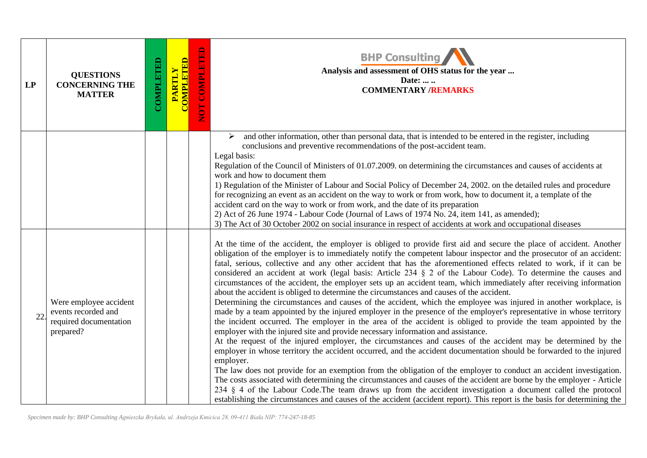| LP | <b>QUESTIONS</b><br><b>CONCERNING THE</b><br><b>MATTER</b>                           | COMPLETED | <b>COMPLETED</b><br>PARTLY | NOT COMPLETED | <b>BHP Consulting</b><br>Analysis and assessment of OHS status for the year<br>Date:<br><b>COMMENTARY /REMARKS</b>                                                                                                                                                                                                                                                                                                                                                                                                                                                                                                                                                                                                                                                                                                                                                                                                                                                                                                                                                                                                                                                                                                                                                                                                                                                                                                                                                                                                                                                                                                                                                                                                                                                                                                                                                                                                 |
|----|--------------------------------------------------------------------------------------|-----------|----------------------------|---------------|--------------------------------------------------------------------------------------------------------------------------------------------------------------------------------------------------------------------------------------------------------------------------------------------------------------------------------------------------------------------------------------------------------------------------------------------------------------------------------------------------------------------------------------------------------------------------------------------------------------------------------------------------------------------------------------------------------------------------------------------------------------------------------------------------------------------------------------------------------------------------------------------------------------------------------------------------------------------------------------------------------------------------------------------------------------------------------------------------------------------------------------------------------------------------------------------------------------------------------------------------------------------------------------------------------------------------------------------------------------------------------------------------------------------------------------------------------------------------------------------------------------------------------------------------------------------------------------------------------------------------------------------------------------------------------------------------------------------------------------------------------------------------------------------------------------------------------------------------------------------------------------------------------------------|
|    |                                                                                      |           |                            |               | and other information, other than personal data, that is intended to be entered in the register, including<br>➤<br>conclusions and preventive recommendations of the post-accident team.<br>Legal basis:<br>Regulation of the Council of Ministers of 01.07.2009. on determining the circumstances and causes of accidents at<br>work and how to document them<br>1) Regulation of the Minister of Labour and Social Policy of December 24, 2002. on the detailed rules and procedure<br>for recognizing an event as an accident on the way to work or from work, how to document it, a template of the<br>accident card on the way to work or from work, and the date of its preparation<br>2) Act of 26 June 1974 - Labour Code (Journal of Laws of 1974 No. 24, item 141, as amended);<br>3) The Act of 30 October 2002 on social insurance in respect of accidents at work and occupational diseases                                                                                                                                                                                                                                                                                                                                                                                                                                                                                                                                                                                                                                                                                                                                                                                                                                                                                                                                                                                                           |
| 22 | Were employee accident<br>events recorded and<br>required documentation<br>prepared? |           |                            |               | At the time of the accident, the employer is obliged to provide first aid and secure the place of accident. Another<br>obligation of the employer is to immediately notify the competent labour inspector and the prosecutor of an accident:<br>fatal, serious, collective and any other accident that has the aforementioned effects related to work, if it can be<br>considered an accident at work (legal basis: Article 234 $\S$ 2 of the Labour Code). To determine the causes and<br>circumstances of the accident, the employer sets up an accident team, which immediately after receiving information<br>about the accident is obliged to determine the circumstances and causes of the accident.<br>Determining the circumstances and causes of the accident, which the employee was injured in another workplace, is<br>made by a team appointed by the injured employer in the presence of the employer's representative in whose territory<br>the incident occurred. The employer in the area of the accident is obliged to provide the team appointed by the<br>employer with the injured site and provide necessary information and assistance.<br>At the request of the injured employer, the circumstances and causes of the accident may be determined by the<br>employer in whose territory the accident occurred, and the accident documentation should be forwarded to the injured<br>employer.<br>The law does not provide for an exemption from the obligation of the employer to conduct an accident investigation.<br>The costs associated with determining the circumstances and causes of the accident are borne by the employer - Article<br>234 § 4 of the Labour Code. The team draws up from the accident investigation a document called the protocol<br>establishing the circumstances and causes of the accident (accident report). This report is the basis for determining the |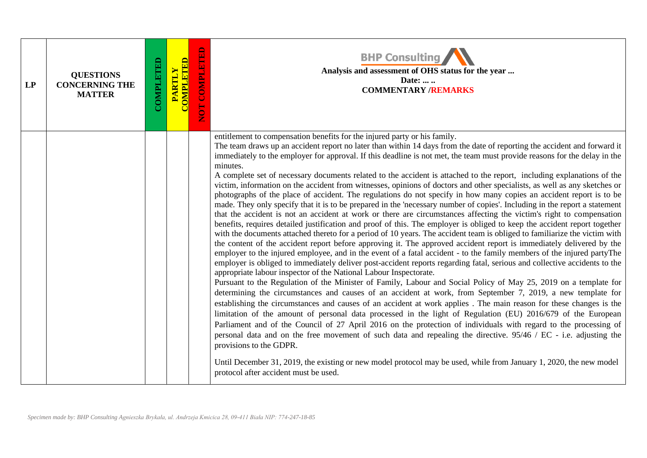| LP | <b>QUESTIONS</b><br><b>CONCERNING THE</b><br><b>MATTER</b> | COMPLETED | PARTLY<br>COMPLETED | <b>COMPLETED</b><br>EON | <b>BHP Consulting</b><br>Analysis and assessment of OHS status for the year<br>Date:<br><b>COMMENTARY /REMARKS</b>                                                                                                                                                                                                                                                                                                                                                                                                                                                                                                                                                                                                                                                                                                                                                                                                                                                                                                                                                                                                                                                                                                                                                                                                                                                                                                                                                                                                                                                                                                                                                                                                                                                                                                                                                                                                                                                                                                                                                                                                                                                                                                                                                                                                                                                                                                                                                                                                                                                                                          |
|----|------------------------------------------------------------|-----------|---------------------|-------------------------|-------------------------------------------------------------------------------------------------------------------------------------------------------------------------------------------------------------------------------------------------------------------------------------------------------------------------------------------------------------------------------------------------------------------------------------------------------------------------------------------------------------------------------------------------------------------------------------------------------------------------------------------------------------------------------------------------------------------------------------------------------------------------------------------------------------------------------------------------------------------------------------------------------------------------------------------------------------------------------------------------------------------------------------------------------------------------------------------------------------------------------------------------------------------------------------------------------------------------------------------------------------------------------------------------------------------------------------------------------------------------------------------------------------------------------------------------------------------------------------------------------------------------------------------------------------------------------------------------------------------------------------------------------------------------------------------------------------------------------------------------------------------------------------------------------------------------------------------------------------------------------------------------------------------------------------------------------------------------------------------------------------------------------------------------------------------------------------------------------------------------------------------------------------------------------------------------------------------------------------------------------------------------------------------------------------------------------------------------------------------------------------------------------------------------------------------------------------------------------------------------------------------------------------------------------------------------------------------------------------|
|    |                                                            |           |                     |                         | entitlement to compensation benefits for the injured party or his family.<br>The team draws up an accident report no later than within 14 days from the date of reporting the accident and forward it<br>immediately to the employer for approval. If this deadline is not met, the team must provide reasons for the delay in the<br>minutes.<br>A complete set of necessary documents related to the accident is attached to the report, including explanations of the<br>victim, information on the accident from witnesses, opinions of doctors and other specialists, as well as any sketches or<br>photographs of the place of accident. The regulations do not specify in how many copies an accident report is to be<br>made. They only specify that it is to be prepared in the 'necessary number of copies'. Including in the report a statement<br>that the accident is not an accident at work or there are circumstances affecting the victim's right to compensation<br>benefits, requires detailed justification and proof of this. The employer is obliged to keep the accident report together<br>with the documents attached thereto for a period of 10 years. The accident team is obliged to familiarize the victim with<br>the content of the accident report before approving it. The approved accident report is immediately delivered by the<br>employer to the injured employee, and in the event of a fatal accident - to the family members of the injured partyThe<br>employer is obliged to immediately deliver post-accident reports regarding fatal, serious and collective accidents to the<br>appropriate labour inspector of the National Labour Inspectorate.<br>Pursuant to the Regulation of the Minister of Family, Labour and Social Policy of May 25, 2019 on a template for<br>determining the circumstances and causes of an accident at work, from September 7, 2019, a new template for<br>establishing the circumstances and causes of an accident at work applies. The main reason for these changes is the<br>limitation of the amount of personal data processed in the light of Regulation (EU) 2016/679 of the European<br>Parliament and of the Council of 27 April 2016 on the protection of individuals with regard to the processing of<br>personal data and on the free movement of such data and repealing the directive. 95/46 / EC - i.e. adjusting the<br>provisions to the GDPR.<br>Until December 31, 2019, the existing or new model protocol may be used, while from January 1, 2020, the new model<br>protocol after accident must be used. |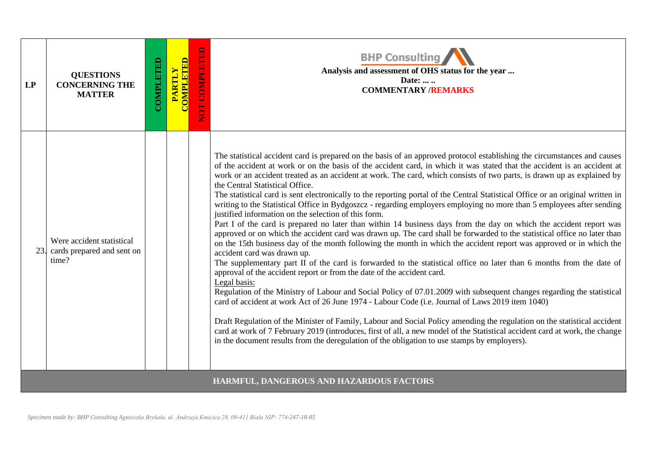| LP  | <b>QUESTIONS</b><br><b>CONCERNING THE</b><br><b>MATTER</b>       | COMPLETED | <b>COMPLETED</b><br><b>PARTLY</b> | NOT COMPLETED | <b>BHP Consulting</b><br>Analysis and assessment of OHS status for the year<br>Date:<br><b>COMMENTARY /REMARKS</b>                                                                                                                                                                                                                                                                                                                                                                                                                                                                                                                                                                                                                                                                                                                                                                                                                                                                                                                                                                                                                                                                                                                                                                                                                                                                                                                                                                                                                                                                                                                                                                                                                                                                                                                                                                                                                                       |
|-----|------------------------------------------------------------------|-----------|-----------------------------------|---------------|----------------------------------------------------------------------------------------------------------------------------------------------------------------------------------------------------------------------------------------------------------------------------------------------------------------------------------------------------------------------------------------------------------------------------------------------------------------------------------------------------------------------------------------------------------------------------------------------------------------------------------------------------------------------------------------------------------------------------------------------------------------------------------------------------------------------------------------------------------------------------------------------------------------------------------------------------------------------------------------------------------------------------------------------------------------------------------------------------------------------------------------------------------------------------------------------------------------------------------------------------------------------------------------------------------------------------------------------------------------------------------------------------------------------------------------------------------------------------------------------------------------------------------------------------------------------------------------------------------------------------------------------------------------------------------------------------------------------------------------------------------------------------------------------------------------------------------------------------------------------------------------------------------------------------------------------------------|
| 23. | Were accident statistical<br>cards prepared and sent on<br>time? |           |                                   |               | The statistical accident card is prepared on the basis of an approved protocol establishing the circumstances and causes<br>of the accident at work or on the basis of the accident card, in which it was stated that the accident is an accident at<br>work or an accident treated as an accident at work. The card, which consists of two parts, is drawn up as explained by<br>the Central Statistical Office.<br>The statistical card is sent electronically to the reporting portal of the Central Statistical Office or an original written in<br>writing to the Statistical Office in Bydgoszcz - regarding employers employing no more than 5 employees after sending<br>justified information on the selection of this form.<br>Part I of the card is prepared no later than within 14 business days from the day on which the accident report was<br>approved or on which the accident card was drawn up. The card shall be forwarded to the statistical office no later than<br>on the 15th business day of the month following the month in which the accident report was approved or in which the<br>accident card was drawn up.<br>The supplementary part II of the card is forwarded to the statistical office no later than 6 months from the date of<br>approval of the accident report or from the date of the accident card.<br>Legal basis:<br>Regulation of the Ministry of Labour and Social Policy of 07.01.2009 with subsequent changes regarding the statistical<br>card of accident at work Act of 26 June 1974 - Labour Code (i.e. Journal of Laws 2019 item 1040)<br>Draft Regulation of the Minister of Family, Labour and Social Policy amending the regulation on the statistical accident<br>card at work of 7 February 2019 (introduces, first of all, a new model of the Statistical accident card at work, the change<br>in the document results from the deregulation of the obligation to use stamps by employers). |
|     |                                                                  |           |                                   |               | HARMFUL, DANGEROUS AND HAZARDOUS FACTORS                                                                                                                                                                                                                                                                                                                                                                                                                                                                                                                                                                                                                                                                                                                                                                                                                                                                                                                                                                                                                                                                                                                                                                                                                                                                                                                                                                                                                                                                                                                                                                                                                                                                                                                                                                                                                                                                                                                 |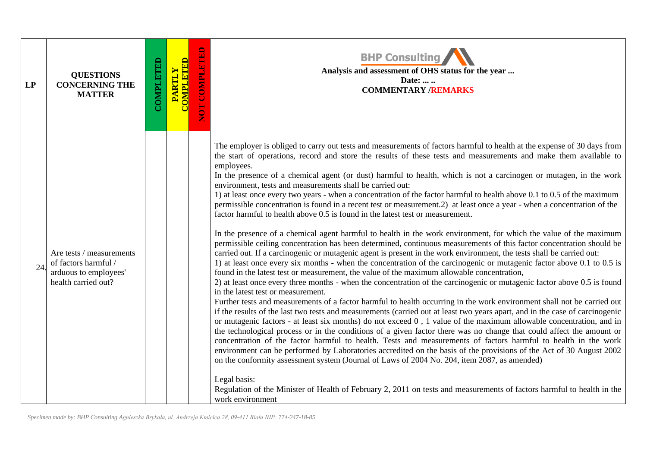| LP  | <b>QUESTIONS</b><br><b>CONCERNING THE</b><br><b>MATTER</b>                                       | COMPLETED | <b>COMPLETED</b><br><b>PARTLY</b> | NOT COMPLETED | <b>BHP Consulting</b><br>Analysis and assessment of OHS status for the year<br>Date:<br><b>COMMENTARY /REMARKS</b>                                                                                                                                                                                                                                                                                                                                                                                                                                                                                                                                                                                                                                                                                                                                                                                                                                                                                                                                                                                                                                                                                                                                                                                                                                                                                                                                                                                                                                                                                                                                                                                                                                                                                                                                                                                                                                                                                                                                                                                                                                                                                                                                                                                                                                                                                                                                                                                                                                                     |
|-----|--------------------------------------------------------------------------------------------------|-----------|-----------------------------------|---------------|------------------------------------------------------------------------------------------------------------------------------------------------------------------------------------------------------------------------------------------------------------------------------------------------------------------------------------------------------------------------------------------------------------------------------------------------------------------------------------------------------------------------------------------------------------------------------------------------------------------------------------------------------------------------------------------------------------------------------------------------------------------------------------------------------------------------------------------------------------------------------------------------------------------------------------------------------------------------------------------------------------------------------------------------------------------------------------------------------------------------------------------------------------------------------------------------------------------------------------------------------------------------------------------------------------------------------------------------------------------------------------------------------------------------------------------------------------------------------------------------------------------------------------------------------------------------------------------------------------------------------------------------------------------------------------------------------------------------------------------------------------------------------------------------------------------------------------------------------------------------------------------------------------------------------------------------------------------------------------------------------------------------------------------------------------------------------------------------------------------------------------------------------------------------------------------------------------------------------------------------------------------------------------------------------------------------------------------------------------------------------------------------------------------------------------------------------------------------------------------------------------------------------------------------------------------------|
| 24. | Are tests / measurements<br>of factors harmful /<br>arduous to employees'<br>health carried out? |           |                                   |               | The employer is obliged to carry out tests and measurements of factors harmful to health at the expense of 30 days from<br>the start of operations, record and store the results of these tests and measurements and make them available to<br>employees.<br>In the presence of a chemical agent (or dust) harmful to health, which is not a carcinogen or mutagen, in the work<br>environment, tests and measurements shall be carried out:<br>1) at least once every two years - when a concentration of the factor harmful to health above 0.1 to 0.5 of the maximum<br>permissible concentration is found in a recent test or measurement.2) at least once a year - when a concentration of the<br>factor harmful to health above 0.5 is found in the latest test or measurement.<br>In the presence of a chemical agent harmful to health in the work environment, for which the value of the maximum<br>permissible ceiling concentration has been determined, continuous measurements of this factor concentration should be<br>carried out. If a carcinogenic or mutagenic agent is present in the work environment, the tests shall be carried out:<br>1) at least once every six months - when the concentration of the carcinogenic or mutagenic factor above 0.1 to 0.5 is<br>found in the latest test or measurement, the value of the maximum allowable concentration,<br>2) at least once every three months - when the concentration of the carcinogenic or mutagenic factor above 0.5 is found<br>in the latest test or measurement.<br>Further tests and measurements of a factor harmful to health occurring in the work environment shall not be carried out<br>if the results of the last two tests and measurements (carried out at least two years apart, and in the case of carcinogenic<br>or mutagenic factors - at least six months) do not exceed 0, 1 value of the maximum allowable concentration, and in<br>the technological process or in the conditions of a given factor there was no change that could affect the amount or<br>concentration of the factor harmful to health. Tests and measurements of factors harmful to health in the work<br>environment can be performed by Laboratories accredited on the basis of the provisions of the Act of 30 August 2002<br>on the conformity assessment system (Journal of Laws of 2004 No. 204, item 2087, as amended)<br>Legal basis:<br>Regulation of the Minister of Health of February 2, 2011 on tests and measurements of factors harmful to health in the<br>work environment |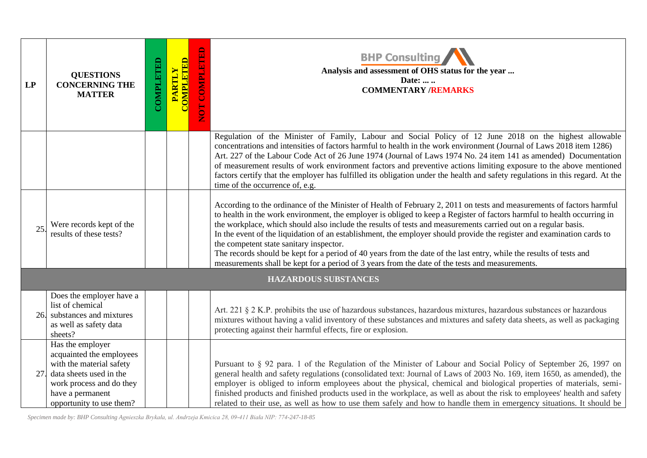| LP  | <b>QUESTIONS</b><br><b>CONCERNING THE</b><br><b>MATTER</b>                                                                                                                      | COMPLETED | <b>COMPLETED</b><br><b>PARTLY</b> | NOT COMPLETED | <b>BHP Consulting</b><br>Analysis and assessment of OHS status for the year<br>Date:<br><b>COMMENTARY /REMARKS</b>                                                                                                                                                                                                                                                                                                                                                                                                                                                                                                                                                                                                                                                |
|-----|---------------------------------------------------------------------------------------------------------------------------------------------------------------------------------|-----------|-----------------------------------|---------------|-------------------------------------------------------------------------------------------------------------------------------------------------------------------------------------------------------------------------------------------------------------------------------------------------------------------------------------------------------------------------------------------------------------------------------------------------------------------------------------------------------------------------------------------------------------------------------------------------------------------------------------------------------------------------------------------------------------------------------------------------------------------|
|     |                                                                                                                                                                                 |           |                                   |               | Regulation of the Minister of Family, Labour and Social Policy of 12 June 2018 on the highest allowable<br>concentrations and intensities of factors harmful to health in the work environment (Journal of Laws 2018 item 1286)<br>Art. 227 of the Labour Code Act of 26 June 1974 (Journal of Laws 1974 No. 24 item 141 as amended) Documentation<br>of measurement results of work environment factors and preventive actions limiting exposure to the above mentioned<br>factors certify that the employer has fulfilled its obligation under the health and safety regulations in this regard. At the<br>time of the occurrence of, e.g.                                                                                                                      |
| 25  | Were records kept of the<br>results of these tests?                                                                                                                             |           |                                   |               | According to the ordinance of the Minister of Health of February 2, 2011 on tests and measurements of factors harmful<br>to health in the work environment, the employer is obliged to keep a Register of factors harmful to health occurring in<br>the workplace, which should also include the results of tests and measurements carried out on a regular basis.<br>In the event of the liquidation of an establishment, the employer should provide the register and examination cards to<br>the competent state sanitary inspector.<br>The records should be kept for a period of 40 years from the date of the last entry, while the results of tests and<br>measurements shall be kept for a period of 3 years from the date of the tests and measurements. |
|     |                                                                                                                                                                                 |           |                                   |               | <b>HAZARDOUS SUBSTANCES</b>                                                                                                                                                                                                                                                                                                                                                                                                                                                                                                                                                                                                                                                                                                                                       |
| 26. | Does the employer have a<br>list of chemical<br>substances and mixtures<br>as well as safety data<br>sheets?                                                                    |           |                                   |               | Art. 221 § 2 K.P. prohibits the use of hazardous substances, hazardous mixtures, hazardous substances or hazardous<br>mixtures without having a valid inventory of these substances and mixtures and safety data sheets, as well as packaging<br>protecting against their harmful effects, fire or explosion.                                                                                                                                                                                                                                                                                                                                                                                                                                                     |
| 27. | Has the employer<br>acquainted the employees<br>with the material safety<br>data sheets used in the<br>work process and do they<br>have a permanent<br>opportunity to use them? |           |                                   |               | Pursuant to § 92 para. 1 of the Regulation of the Minister of Labour and Social Policy of September 26, 1997 on<br>general health and safety regulations (consolidated text: Journal of Laws of 2003 No. 169, item 1650, as amended), the<br>employer is obliged to inform employees about the physical, chemical and biological properties of materials, semi-<br>finished products and finished products used in the workplace, as well as about the risk to employees' health and safety<br>related to their use, as well as how to use them safely and how to handle them in emergency situations. It should be                                                                                                                                               |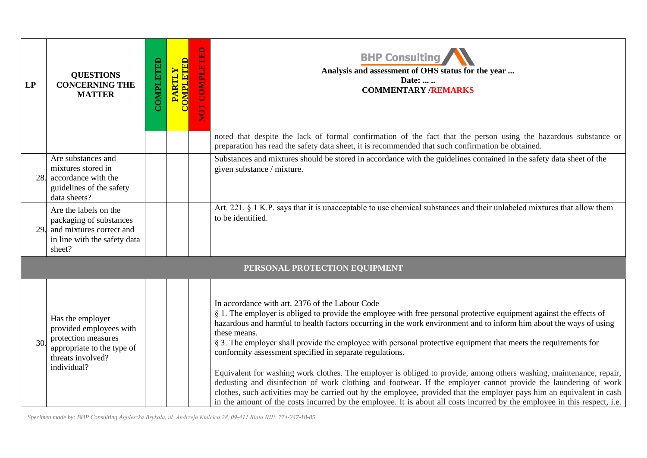| LP  | <b>QUESTIONS</b><br><b>CONCERNING THE</b><br><b>MATTER</b>                                                                           | COMPLETED | <b>COMPLETED</b><br><b>PARTLY</b> | NOT COMPLETED | <b>BHP Consulting</b><br>Analysis and assessment of OHS status for the year<br>Date:<br><b>COMMENTARY /REMARKS</b>                                                                                                                                                                                                                                                                                                                                                                                                                                                                                                                                                                                                                                                                                                                                                                                                                                                                            |
|-----|--------------------------------------------------------------------------------------------------------------------------------------|-----------|-----------------------------------|---------------|-----------------------------------------------------------------------------------------------------------------------------------------------------------------------------------------------------------------------------------------------------------------------------------------------------------------------------------------------------------------------------------------------------------------------------------------------------------------------------------------------------------------------------------------------------------------------------------------------------------------------------------------------------------------------------------------------------------------------------------------------------------------------------------------------------------------------------------------------------------------------------------------------------------------------------------------------------------------------------------------------|
|     |                                                                                                                                      |           |                                   |               | noted that despite the lack of formal confirmation of the fact that the person using the hazardous substance or<br>preparation has read the safety data sheet, it is recommended that such confirmation be obtained.                                                                                                                                                                                                                                                                                                                                                                                                                                                                                                                                                                                                                                                                                                                                                                          |
| 28. | Are substances and<br>mixtures stored in<br>accordance with the<br>guidelines of the safety<br>data sheets?                          |           |                                   |               | Substances and mixtures should be stored in accordance with the guidelines contained in the safety data sheet of the<br>given substance / mixture.                                                                                                                                                                                                                                                                                                                                                                                                                                                                                                                                                                                                                                                                                                                                                                                                                                            |
| 29. | Are the labels on the<br>packaging of substances<br>and mixtures correct and<br>in line with the safety data<br>sheet?               |           |                                   |               | Art. 221. § 1 K.P. says that it is unacceptable to use chemical substances and their unlabeled mixtures that allow them<br>to be identified.                                                                                                                                                                                                                                                                                                                                                                                                                                                                                                                                                                                                                                                                                                                                                                                                                                                  |
|     |                                                                                                                                      |           |                                   |               | PERSONAL PROTECTION EQUIPMENT                                                                                                                                                                                                                                                                                                                                                                                                                                                                                                                                                                                                                                                                                                                                                                                                                                                                                                                                                                 |
| 30. | Has the employer<br>provided employees with<br>protection measures<br>appropriate to the type of<br>threats involved?<br>individual? |           |                                   |               | In accordance with art. 2376 of the Labour Code<br>§ 1. The employer is obliged to provide the employee with free personal protective equipment against the effects of<br>hazardous and harmful to health factors occurring in the work environment and to inform him about the ways of using<br>these means.<br>§ 3. The employer shall provide the employee with personal protective equipment that meets the requirements for<br>conformity assessment specified in separate regulations.<br>Equivalent for washing work clothes. The employer is obliged to provide, among others washing, maintenance, repair,<br>dedusting and disinfection of work clothing and footwear. If the employer cannot provide the laundering of work<br>clothes, such activities may be carried out by the employee, provided that the employer pays him an equivalent in cash<br>in the amount of the costs incurred by the employee. It is about all costs incurred by the employee in this respect, i.e. |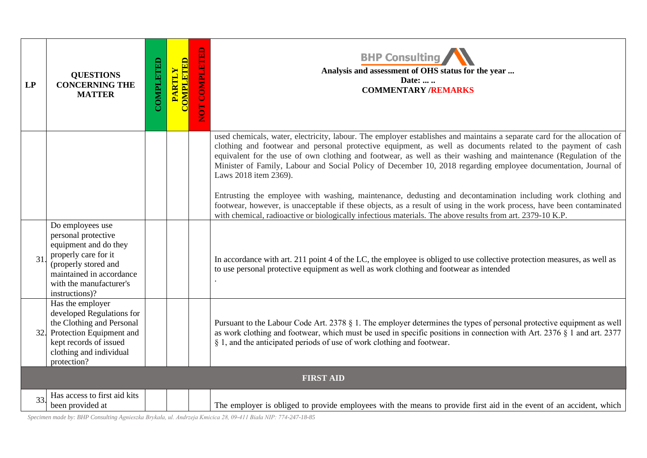| LP  | <b>QUESTIONS</b><br><b>CONCERNING THE</b><br><b>MATTER</b>                                                                                                                                | COMPLETED | <b>COMPLETED</b><br>PARTLY | NOT COMPLE | <b>BHP Consulting</b><br>Analysis and assessment of OHS status for the year<br>Date:<br><b>COMMENTARY /REMARKS</b>                                                                                                                                                                                                                                                                                                                                                                                      |  |  |
|-----|-------------------------------------------------------------------------------------------------------------------------------------------------------------------------------------------|-----------|----------------------------|------------|---------------------------------------------------------------------------------------------------------------------------------------------------------------------------------------------------------------------------------------------------------------------------------------------------------------------------------------------------------------------------------------------------------------------------------------------------------------------------------------------------------|--|--|
|     |                                                                                                                                                                                           |           |                            |            | used chemicals, water, electricity, labour. The employer establishes and maintains a separate card for the allocation of<br>clothing and footwear and personal protective equipment, as well as documents related to the payment of cash<br>equivalent for the use of own clothing and footwear, as well as their washing and maintenance (Regulation of the<br>Minister of Family, Labour and Social Policy of December 10, 2018 regarding employee documentation, Journal of<br>Laws 2018 item 2369). |  |  |
|     |                                                                                                                                                                                           |           |                            |            | Entrusting the employee with washing, maintenance, dedusting and decontamination including work clothing and<br>footwear, however, is unacceptable if these objects, as a result of using in the work process, have been contaminated<br>with chemical, radioactive or biologically infectious materials. The above results from art. 2379-10 K.P.                                                                                                                                                      |  |  |
| 31  | Do employees use<br>personal protective<br>equipment and do they<br>properly care for it<br>(properly stored and<br>maintained in accordance<br>with the manufacturer's<br>instructions)? |           |                            |            | In accordance with art. 211 point 4 of the LC, the employee is obliged to use collective protection measures, as well as<br>to use personal protective equipment as well as work clothing and footwear as intended                                                                                                                                                                                                                                                                                      |  |  |
| 32. | Has the employer<br>developed Regulations for<br>the Clothing and Personal<br>Protection Equipment and<br>kept records of issued<br>clothing and individual<br>protection?                |           |                            |            | Pursuant to the Labour Code Art. 2378 § 1. The employer determines the types of personal protective equipment as well<br>as work clothing and footwear, which must be used in specific positions in connection with Art. 2376 § 1 and art. 2377<br>§ 1, and the anticipated periods of use of work clothing and footwear.                                                                                                                                                                               |  |  |
|     | <b>FIRST AID</b>                                                                                                                                                                          |           |                            |            |                                                                                                                                                                                                                                                                                                                                                                                                                                                                                                         |  |  |
| 33. | Has access to first aid kits<br>been provided at                                                                                                                                          |           |                            |            | The employer is obliged to provide employees with the means to provide first aid in the event of an accident, which                                                                                                                                                                                                                                                                                                                                                                                     |  |  |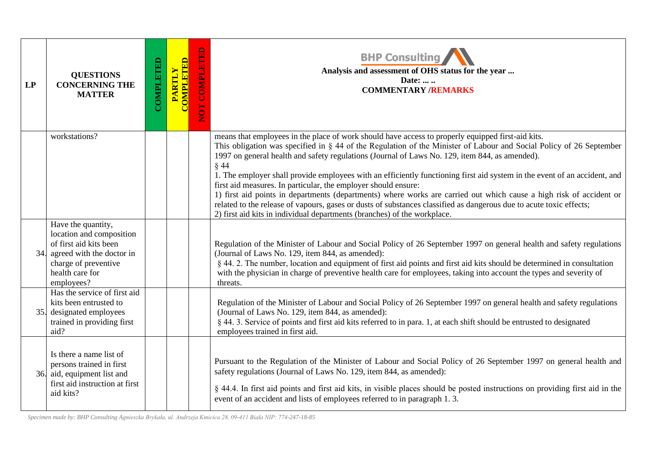| LP  | <b>QUESTIONS</b><br><b>CONCERNING THE</b><br><b>MATTER</b>                                                                                                     | COMPLETED | <b>COMPLETED</b><br><b>PARTLY</b> | <b>COMPLETED</b><br><b>NOT</b> | <b>BHP Consulting</b><br>Analysis and assessment of OHS status for the year<br>Date:<br><b>COMMENTARY /REMARKS</b>                                                                                                                                                                                                                                                                                                                                                                                                                                                                                                                                                                                                                                                                                                                                            |
|-----|----------------------------------------------------------------------------------------------------------------------------------------------------------------|-----------|-----------------------------------|--------------------------------|---------------------------------------------------------------------------------------------------------------------------------------------------------------------------------------------------------------------------------------------------------------------------------------------------------------------------------------------------------------------------------------------------------------------------------------------------------------------------------------------------------------------------------------------------------------------------------------------------------------------------------------------------------------------------------------------------------------------------------------------------------------------------------------------------------------------------------------------------------------|
|     | workstations?                                                                                                                                                  |           |                                   |                                | means that employees in the place of work should have access to properly equipped first-aid kits.<br>This obligation was specified in § 44 of the Regulation of the Minister of Labour and Social Policy of 26 September<br>1997 on general health and safety regulations (Journal of Laws No. 129, item 844, as amended).<br>$§$ 44<br>1. The employer shall provide employees with an efficiently functioning first aid system in the event of an accident, and<br>first aid measures. In particular, the employer should ensure:<br>1) first aid points in departments (departments) where works are carried out which cause a high risk of accident or<br>related to the release of vapours, gases or dusts of substances classified as dangerous due to acute toxic effects;<br>2) first aid kits in individual departments (branches) of the workplace. |
| 34. | Have the quantity,<br>location and composition<br>of first aid kits been<br>agreed with the doctor in<br>charge of preventive<br>health care for<br>employees? |           |                                   |                                | Regulation of the Minister of Labour and Social Policy of 26 September 1997 on general health and safety regulations<br>(Journal of Laws No. 129, item 844, as amended):<br>§ 44. 2. The number, location and equipment of first aid points and first aid kits should be determined in consultation<br>with the physician in charge of preventive health care for employees, taking into account the types and severity of<br>threats.                                                                                                                                                                                                                                                                                                                                                                                                                        |
|     | Has the service of first aid<br>kits been entrusted to<br>35. designated employees<br>trained in providing first<br>aid?                                       |           |                                   |                                | Regulation of the Minister of Labour and Social Policy of 26 September 1997 on general health and safety regulations<br>(Journal of Laws No. 129, item 844, as amended):<br>§ 44. 3. Service of points and first aid kits referred to in para. 1, at each shift should be entrusted to designated<br>employees trained in first aid.                                                                                                                                                                                                                                                                                                                                                                                                                                                                                                                          |
|     | Is there a name list of<br>persons trained in first<br>36. aid, equipment list and<br>first aid instruction at first<br>aid kits?                              |           |                                   |                                | Pursuant to the Regulation of the Minister of Labour and Social Policy of 26 September 1997 on general health and<br>safety regulations (Journal of Laws No. 129, item 844, as amended):<br>§ 44.4. In first aid points and first aid kits, in visible places should be posted instructions on providing first aid in the<br>event of an accident and lists of employees referred to in paragraph 1.3.                                                                                                                                                                                                                                                                                                                                                                                                                                                        |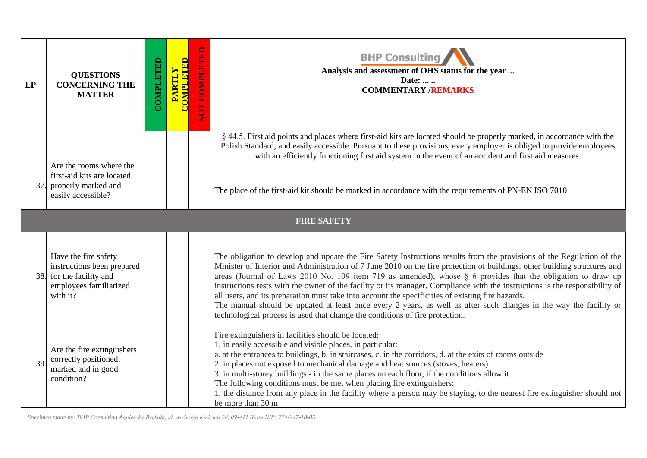| LP  | <b>QUESTIONS</b><br><b>CONCERNING THE</b><br><b>MATTER</b>                                                           | COMPLETED | <b>CALETED</b><br><b>PARTLY</b> | $\mathbf{E}$<br>NOT COMPLET | <b>BHP Consulting</b><br>Analysis and assessment of OHS status for the year<br>Date:<br><b>COMMENTARY /REMARKS</b>                                                                                                                                                                                                                                                                                                                                                                                                                                                                                                                                                                                                                                                                                           |
|-----|----------------------------------------------------------------------------------------------------------------------|-----------|---------------------------------|-----------------------------|--------------------------------------------------------------------------------------------------------------------------------------------------------------------------------------------------------------------------------------------------------------------------------------------------------------------------------------------------------------------------------------------------------------------------------------------------------------------------------------------------------------------------------------------------------------------------------------------------------------------------------------------------------------------------------------------------------------------------------------------------------------------------------------------------------------|
|     |                                                                                                                      |           |                                 |                             | § 44.5. First aid points and places where first-aid kits are located should be properly marked, in accordance with the<br>Polish Standard, and easily accessible. Pursuant to these provisions, every employer is obliged to provide employees<br>with an efficiently functioning first aid system in the event of an accident and first aid measures.                                                                                                                                                                                                                                                                                                                                                                                                                                                       |
| 37. | Are the rooms where the<br>first-aid kits are located<br>properly marked and<br>easily accessible?                   |           |                                 |                             | The place of the first-aid kit should be marked in accordance with the requirements of PN-EN ISO 7010                                                                                                                                                                                                                                                                                                                                                                                                                                                                                                                                                                                                                                                                                                        |
|     |                                                                                                                      |           |                                 |                             | <b>FIRE SAFETY</b>                                                                                                                                                                                                                                                                                                                                                                                                                                                                                                                                                                                                                                                                                                                                                                                           |
|     | Have the fire safety<br>instructions been prepared<br>38. for the facility and<br>employees familiarized<br>with it? |           |                                 |                             | The obligation to develop and update the Fire Safety Instructions results from the provisions of the Regulation of the<br>Minister of Interior and Administration of 7 June 2010 on the fire protection of buildings, other building structures and<br>areas (Journal of Laws 2010 No. 109 item 719 as amended), whose § 6 provides that the obligation to draw up<br>instructions rests with the owner of the facility or its manager. Compliance with the instructions is the responsibility of<br>all users, and its preparation must take into account the specificities of existing fire hazards.<br>The manual should be updated at least once every 2 years, as well as after such changes in the way the facility or<br>technological process is used that change the conditions of fire protection. |
| 39  | Are the fire extinguishers<br>correctly positioned,<br>marked and in good<br>condition?                              |           |                                 |                             | Fire extinguishers in facilities should be located:<br>1. in easily accessible and visible places, in particular:<br>a. at the entrances to buildings, b. in staircases, c. in the corridors, d. at the exits of rooms outside<br>2. in places not exposed to mechanical damage and heat sources (stoves, heaters)<br>3. in multi-storey buildings - in the same places on each floor, if the conditions allow it.<br>The following conditions must be met when placing fire extinguishers:<br>1. the distance from any place in the facility where a person may be staying, to the nearest fire extinguisher should not<br>be more than 30 m                                                                                                                                                                |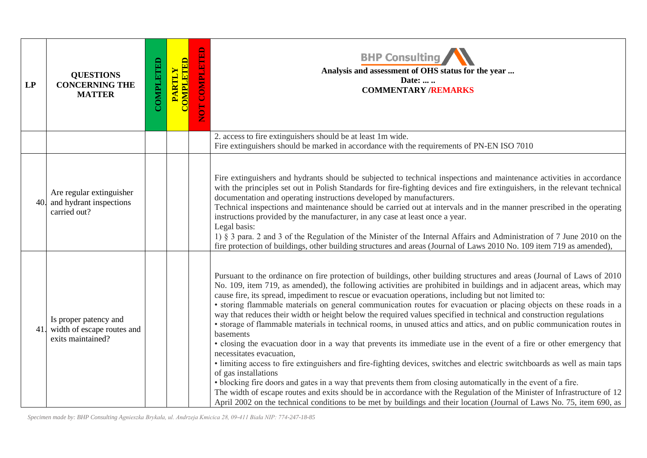| LP  | <b>QUESTIONS</b><br><b>CONCERNING THE</b><br><b>MATTER</b>               | COMPLETED | <b>COMPLETED</b><br><b>PARTLY</b> | NOT COMPLETED | <b>BHP Consulting</b><br>Analysis and assessment of OHS status for the year<br>Date:<br><b>COMMENTARY /REMARKS</b>                                                                                                                                                                                                                                                                                                                                                                                                                                                                                                                                                                                                                                                                                                                                                                                                                                                                                                                                                                                                                                                                                                                                                                                                                                                                                                                 |
|-----|--------------------------------------------------------------------------|-----------|-----------------------------------|---------------|------------------------------------------------------------------------------------------------------------------------------------------------------------------------------------------------------------------------------------------------------------------------------------------------------------------------------------------------------------------------------------------------------------------------------------------------------------------------------------------------------------------------------------------------------------------------------------------------------------------------------------------------------------------------------------------------------------------------------------------------------------------------------------------------------------------------------------------------------------------------------------------------------------------------------------------------------------------------------------------------------------------------------------------------------------------------------------------------------------------------------------------------------------------------------------------------------------------------------------------------------------------------------------------------------------------------------------------------------------------------------------------------------------------------------------|
|     |                                                                          |           |                                   |               | 2. access to fire extinguishers should be at least 1m wide.<br>Fire extinguishers should be marked in accordance with the requirements of PN-EN ISO 7010                                                                                                                                                                                                                                                                                                                                                                                                                                                                                                                                                                                                                                                                                                                                                                                                                                                                                                                                                                                                                                                                                                                                                                                                                                                                           |
| 40. | Are regular extinguisher<br>and hydrant inspections<br>carried out?      |           |                                   |               | Fire extinguishers and hydrants should be subjected to technical inspections and maintenance activities in accordance<br>with the principles set out in Polish Standards for fire-fighting devices and fire extinguishers, in the relevant technical<br>documentation and operating instructions developed by manufacturers.<br>Technical inspections and maintenance should be carried out at intervals and in the manner prescribed in the operating<br>instructions provided by the manufacturer, in any case at least once a year.<br>Legal basis:<br>1) § 3 para. 2 and 3 of the Regulation of the Minister of the Internal Affairs and Administration of 7 June 2010 on the<br>fire protection of buildings, other building structures and areas (Journal of Laws 2010 No. 109 item 719 as amended),                                                                                                                                                                                                                                                                                                                                                                                                                                                                                                                                                                                                                         |
| 41. | Is proper patency and<br>width of escape routes and<br>exits maintained? |           |                                   |               | Pursuant to the ordinance on fire protection of buildings, other building structures and areas (Journal of Laws of 2010<br>No. 109, item 719, as amended), the following activities are prohibited in buildings and in adjacent areas, which may<br>cause fire, its spread, impediment to rescue or evacuation operations, including but not limited to:<br>• storing flammable materials on general communication routes for evacuation or placing objects on these roads in a<br>way that reduces their width or height below the required values specified in technical and construction regulations<br>· storage of flammable materials in technical rooms, in unused attics and attics, and on public communication routes in<br>basements<br>• closing the evacuation door in a way that prevents its immediate use in the event of a fire or other emergency that<br>necessitates evacuation,<br>· limiting access to fire extinguishers and fire-fighting devices, switches and electric switchboards as well as main taps<br>of gas installations<br>• blocking fire doors and gates in a way that prevents them from closing automatically in the event of a fire.<br>The width of escape routes and exits should be in accordance with the Regulation of the Minister of Infrastructure of 12<br>April 2002 on the technical conditions to be met by buildings and their location (Journal of Laws No. 75, item 690, as |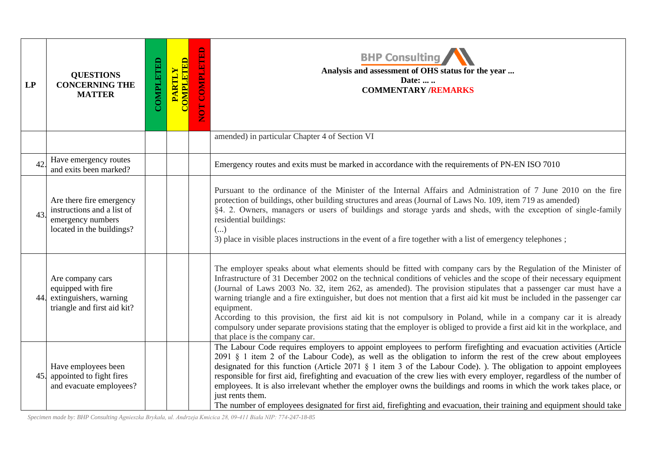| LP  | <b>QUESTIONS</b><br><b>CONCERNING THE</b><br><b>MATTER</b>                                               | <b>COMPLETED</b> | <b>COMPLETED</b><br><b>PARTLY</b> | <b>COMPLETED</b><br><b>EON</b> | <b>BHP Consulting</b><br>Analysis and assessment of OHS status for the year<br>Date:<br><b>COMMENTARY /REMARKS</b>                                                                                                                                                                                                                                                                                                                                                                                                                                                                                                                                                                                                                                                                        |
|-----|----------------------------------------------------------------------------------------------------------|------------------|-----------------------------------|--------------------------------|-------------------------------------------------------------------------------------------------------------------------------------------------------------------------------------------------------------------------------------------------------------------------------------------------------------------------------------------------------------------------------------------------------------------------------------------------------------------------------------------------------------------------------------------------------------------------------------------------------------------------------------------------------------------------------------------------------------------------------------------------------------------------------------------|
|     |                                                                                                          |                  |                                   |                                | amended) in particular Chapter 4 of Section VI                                                                                                                                                                                                                                                                                                                                                                                                                                                                                                                                                                                                                                                                                                                                            |
| 42. | Have emergency routes<br>and exits been marked?                                                          |                  |                                   |                                | Emergency routes and exits must be marked in accordance with the requirements of PN-EN ISO 7010                                                                                                                                                                                                                                                                                                                                                                                                                                                                                                                                                                                                                                                                                           |
| 43. | Are there fire emergency<br>instructions and a list of<br>emergency numbers<br>located in the buildings? |                  |                                   |                                | Pursuant to the ordinance of the Minister of the Internal Affairs and Administration of 7 June 2010 on the fire<br>protection of buildings, other building structures and areas (Journal of Laws No. 109, item 719 as amended)<br>§4. 2. Owners, managers or users of buildings and storage yards and sheds, with the exception of single-family<br>residential buildings:<br>$(\ldots)$<br>3) place in visible places instructions in the event of a fire together with a list of emergency telephones;                                                                                                                                                                                                                                                                                  |
| 44. | Are company cars<br>equipped with fire<br>extinguishers, warning<br>triangle and first aid kit?          |                  |                                   |                                | The employer speaks about what elements should be fitted with company cars by the Regulation of the Minister of<br>Infrastructure of 31 December 2002 on the technical conditions of vehicles and the scope of their necessary equipment<br>(Journal of Laws 2003 No. 32, item 262, as amended). The provision stipulates that a passenger car must have a<br>warning triangle and a fire extinguisher, but does not mention that a first aid kit must be included in the passenger car<br>equipment.<br>According to this provision, the first aid kit is not compulsory in Poland, while in a company car it is already<br>compulsory under separate provisions stating that the employer is obliged to provide a first aid kit in the workplace, and<br>that place is the company car. |
| 45. | Have employees been<br>appointed to fight fires<br>and evacuate employees?                               |                  |                                   |                                | The Labour Code requires employers to appoint employees to perform firefighting and evacuation activities (Article<br>2091 § 1 item 2 of the Labour Code), as well as the obligation to inform the rest of the crew about employees<br>designated for this function (Article 2071 § 1 item 3 of the Labour Code). ). The obligation to appoint employees<br>responsible for first aid, firefighting and evacuation of the crew lies with every employer, regardless of the number of<br>employees. It is also irrelevant whether the employer owns the buildings and rooms in which the work takes place, or<br>just rents them.<br>The number of employees designated for first aid, firefighting and evacuation, their training and equipment should take                               |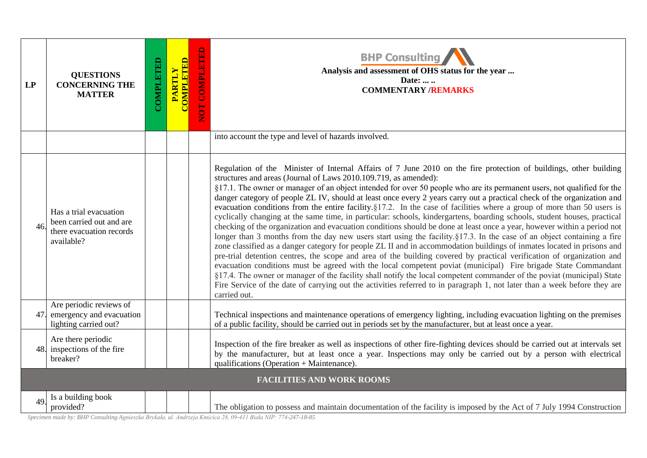| LP  | <b>QUESTIONS</b><br><b>CONCERNING THE</b><br><b>MATTER</b>                                   | COMPLETED | <b>COMPLETED</b><br><b>PARTLY</b> | NOT COMPLETED | <b>BHP Consulting</b><br>Analysis and assessment of OHS status for the year<br>Date:<br><b>COMMENTARY /REMARKS</b>                                                                                                                                                                                                                                                                                                                                                                                                                                                                                                                                                                                                                                                                                                                                                                                                                                                                                                                                                                                                                                                                                                                                                                                                                                                                                                                                                                                                                                                                                       |
|-----|----------------------------------------------------------------------------------------------|-----------|-----------------------------------|---------------|----------------------------------------------------------------------------------------------------------------------------------------------------------------------------------------------------------------------------------------------------------------------------------------------------------------------------------------------------------------------------------------------------------------------------------------------------------------------------------------------------------------------------------------------------------------------------------------------------------------------------------------------------------------------------------------------------------------------------------------------------------------------------------------------------------------------------------------------------------------------------------------------------------------------------------------------------------------------------------------------------------------------------------------------------------------------------------------------------------------------------------------------------------------------------------------------------------------------------------------------------------------------------------------------------------------------------------------------------------------------------------------------------------------------------------------------------------------------------------------------------------------------------------------------------------------------------------------------------------|
|     |                                                                                              |           |                                   |               | into account the type and level of hazards involved.                                                                                                                                                                                                                                                                                                                                                                                                                                                                                                                                                                                                                                                                                                                                                                                                                                                                                                                                                                                                                                                                                                                                                                                                                                                                                                                                                                                                                                                                                                                                                     |
| 46  | Has a trial evacuation<br>been carried out and are<br>there evacuation records<br>available? |           |                                   |               | Regulation of the Minister of Internal Affairs of 7 June 2010 on the fire protection of buildings, other building<br>structures and areas (Journal of Laws 2010.109.719, as amended):<br>§17.1. The owner or manager of an object intended for over 50 people who are its permanent users, not qualified for the<br>danger category of people ZL IV, should at least once every 2 years carry out a practical check of the organization and<br>evacuation conditions from the entire facility. $\S17.2$ . In the case of facilities where a group of more than 50 users is<br>cyclically changing at the same time, in particular: schools, kindergartens, boarding schools, student houses, practical<br>checking of the organization and evacuation conditions should be done at least once a year, however within a period not<br>longer than 3 months from the day new users start using the facility. §17.3. In the case of an object containing a fire<br>zone classified as a danger category for people ZL II and in accommodation buildings of inmates located in prisons and<br>pre-trial detention centres, the scope and area of the building covered by practical verification of organization and<br>evacuation conditions must be agreed with the local competent poviat (municipal) Fire brigade State Commandant<br>§17.4. The owner or manager of the facility shall notify the local competent commander of the poviat (municipal) State<br>Fire Service of the date of carrying out the activities referred to in paragraph 1, not later than a week before they are<br>carried out. |
| 47. | Are periodic reviews of<br>emergency and evacuation<br>lighting carried out?                 |           |                                   |               | Technical inspections and maintenance operations of emergency lighting, including evacuation lighting on the premises<br>of a public facility, should be carried out in periods set by the manufacturer, but at least once a year.                                                                                                                                                                                                                                                                                                                                                                                                                                                                                                                                                                                                                                                                                                                                                                                                                                                                                                                                                                                                                                                                                                                                                                                                                                                                                                                                                                       |
| 48. | Are there periodic<br>inspections of the fire<br>breaker?                                    |           |                                   |               | Inspection of the fire breaker as well as inspections of other fire-fighting devices should be carried out at intervals set<br>by the manufacturer, but at least once a year. Inspections may only be carried out by a person with electrical<br>qualifications (Operation + Maintenance).                                                                                                                                                                                                                                                                                                                                                                                                                                                                                                                                                                                                                                                                                                                                                                                                                                                                                                                                                                                                                                                                                                                                                                                                                                                                                                               |
|     |                                                                                              |           |                                   |               | <b>FACILITIES AND WORK ROOMS</b>                                                                                                                                                                                                                                                                                                                                                                                                                                                                                                                                                                                                                                                                                                                                                                                                                                                                                                                                                                                                                                                                                                                                                                                                                                                                                                                                                                                                                                                                                                                                                                         |
| 49. | Is a building book<br>provided?                                                              |           |                                   |               | The obligation to possess and maintain documentation of the facility is imposed by the Act of 7 July 1994 Construction                                                                                                                                                                                                                                                                                                                                                                                                                                                                                                                                                                                                                                                                                                                                                                                                                                                                                                                                                                                                                                                                                                                                                                                                                                                                                                                                                                                                                                                                                   |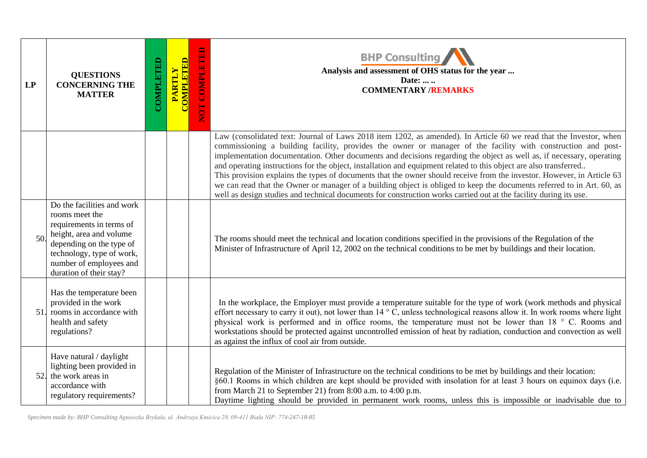| LP  | <b>QUESTIONS</b><br><b>CONCERNING THE</b><br><b>MATTER</b>                                                                                                                                                         | COMPLETED | <b>COMPLETED</b><br>PARTLY | NOT COMPLETED | <b>BHP Consulting</b><br>Analysis and assessment of OHS status for the year<br>Date:<br><b>COMMENTARY /REMARKS</b>                                                                                                                                                                                                                                                                                                                                                                                                                                                                                                                                                                                                                                                                                                                                       |
|-----|--------------------------------------------------------------------------------------------------------------------------------------------------------------------------------------------------------------------|-----------|----------------------------|---------------|----------------------------------------------------------------------------------------------------------------------------------------------------------------------------------------------------------------------------------------------------------------------------------------------------------------------------------------------------------------------------------------------------------------------------------------------------------------------------------------------------------------------------------------------------------------------------------------------------------------------------------------------------------------------------------------------------------------------------------------------------------------------------------------------------------------------------------------------------------|
|     |                                                                                                                                                                                                                    |           |                            |               | Law (consolidated text: Journal of Laws 2018 item 1202, as amended). In Article 60 we read that the Investor, when<br>commissioning a building facility, provides the owner or manager of the facility with construction and post-<br>implementation documentation. Other documents and decisions regarding the object as well as, if necessary, operating<br>and operating instructions for the object, installation and equipment related to this object are also transferred<br>This provision explains the types of documents that the owner should receive from the investor. However, in Article 63<br>we can read that the Owner or manager of a building object is obliged to keep the documents referred to in Art. 60, as<br>well as design studies and technical documents for construction works carried out at the facility during its use. |
| 50  | Do the facilities and work<br>rooms meet the<br>requirements in terms of<br>height, area and volume<br>depending on the type of<br>technology, type of work,<br>number of employees and<br>duration of their stay? |           |                            |               | The rooms should meet the technical and location conditions specified in the provisions of the Regulation of the<br>Minister of Infrastructure of April 12, 2002 on the technical conditions to be met by buildings and their location.                                                                                                                                                                                                                                                                                                                                                                                                                                                                                                                                                                                                                  |
| 51. | Has the temperature been<br>provided in the work<br>rooms in accordance with<br>health and safety<br>regulations?                                                                                                  |           |                            |               | In the workplace, the Employer must provide a temperature suitable for the type of work (work methods and physical<br>effort necessary to carry it out), not lower than 14 ° C, unless technological reasons allow it. In work rooms where light<br>physical work is performed and in office rooms, the temperature must not be lower than 18 ° C. Rooms and<br>workstations should be protected against uncontrolled emission of heat by radiation, conduction and convection as well<br>as against the influx of cool air from outside.                                                                                                                                                                                                                                                                                                                |
| 52. | Have natural / daylight<br>lighting been provided in<br>the work areas in<br>accordance with<br>regulatory requirements?                                                                                           |           |                            |               | Regulation of the Minister of Infrastructure on the technical conditions to be met by buildings and their location:<br>§60.1 Rooms in which children are kept should be provided with insolation for at least 3 hours on equinox days (i.e.<br>from March 21 to September 21) from 8:00 a.m. to 4:00 p.m.<br>Daytime lighting should be provided in permanent work rooms, unless this is impossible or inadvisable due to                                                                                                                                                                                                                                                                                                                                                                                                                                |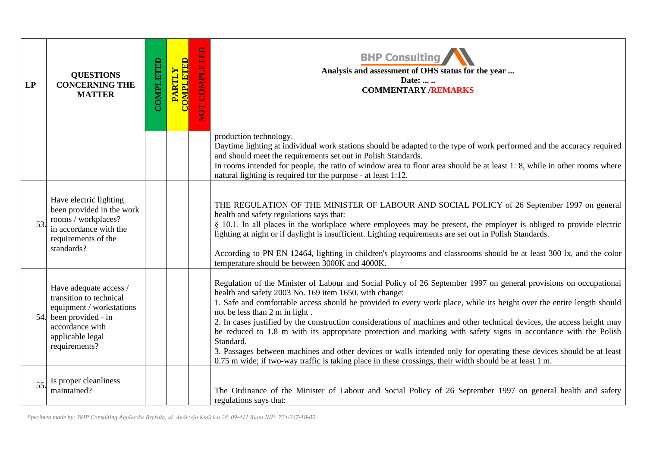| LP  | <b>QUESTIONS</b><br><b>CONCERNING THE</b><br><b>MATTER</b>                                                                                                      | COMPLETED | <b>COMPLETED</b><br>PARTLY | COMPLETED<br><b>EDI</b> | <b>BHP Consulting</b><br>Analysis and assessment of OHS status for the year<br>Date:<br><b>COMMENTARY /REMARKS</b>                                                                                                                                                                                                                                                                                                                                                                                                                                                                                                                                                                                                                                                                                                                   |
|-----|-----------------------------------------------------------------------------------------------------------------------------------------------------------------|-----------|----------------------------|-------------------------|--------------------------------------------------------------------------------------------------------------------------------------------------------------------------------------------------------------------------------------------------------------------------------------------------------------------------------------------------------------------------------------------------------------------------------------------------------------------------------------------------------------------------------------------------------------------------------------------------------------------------------------------------------------------------------------------------------------------------------------------------------------------------------------------------------------------------------------|
|     |                                                                                                                                                                 |           |                            |                         | production technology.<br>Daytime lighting at individual work stations should be adapted to the type of work performed and the accuracy required<br>and should meet the requirements set out in Polish Standards.<br>In rooms intended for people, the ratio of window area to floor area should be at least 1: 8, while in other rooms where<br>natural lighting is required for the purpose - at least 1:12.                                                                                                                                                                                                                                                                                                                                                                                                                       |
| 53. | Have electric lighting<br>been provided in the work<br>rooms / workplaces?<br>in accordance with the<br>requirements of the<br>standards?                       |           |                            |                         | THE REGULATION OF THE MINISTER OF LABOUR AND SOCIAL POLICY of 26 September 1997 on general<br>health and safety regulations says that:<br>§ 10.1. In all places in the workplace where employees may be present, the employer is obliged to provide electric<br>lighting at night or if daylight is insufficient. Lighting requirements are set out in Polish Standards.<br>According to PN EN 12464, lighting in children's playrooms and classrooms should be at least 300 lx, and the color<br>temperature should be between 3000K and 4000K.                                                                                                                                                                                                                                                                                     |
|     | Have adequate access /<br>transition to technical<br>equipment / workstations<br>54. been provided - in<br>accordance with<br>applicable legal<br>requirements? |           |                            |                         | Regulation of the Minister of Labour and Social Policy of 26 September 1997 on general provisions on occupational<br>health and safety 2003 No. 169 item 1650. with change:<br>1. Safe and comfortable access should be provided to every work place, while its height over the entire length should<br>not be less than 2 m in light.<br>2. In cases justified by the construction considerations of machines and other technical devices, the access height may<br>be reduced to 1.8 m with its appropriate protection and marking with safety signs in accordance with the Polish<br>Standard.<br>3. Passages between machines and other devices or walls intended only for operating these devices should be at least<br>0.75 m wide; if two-way traffic is taking place in these crossings, their width should be at least 1 m. |
| 55. | Is proper cleanliness<br>maintained?                                                                                                                            |           |                            |                         | The Ordinance of the Minister of Labour and Social Policy of 26 September 1997 on general health and safety<br>regulations says that:                                                                                                                                                                                                                                                                                                                                                                                                                                                                                                                                                                                                                                                                                                |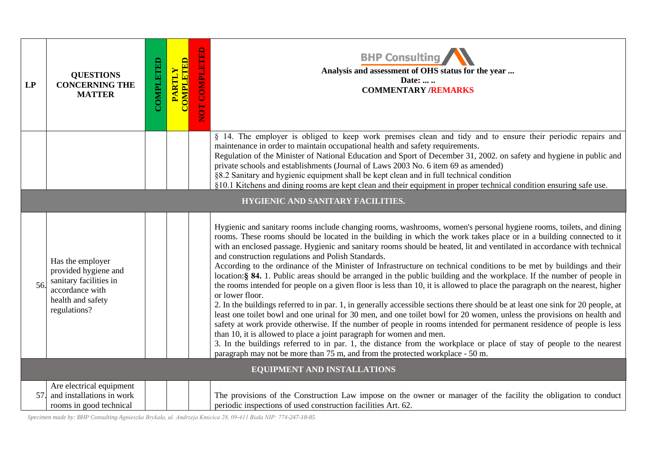| LP  | <b>QUESTIONS</b><br><b>CONCERNING THE</b><br><b>MATTER</b>                                                                 | COMPLETED | <b>COMPLETED</b><br>PARTLY | <b>COMPLE</b><br><b>EON</b> | <b>BHP Consulting</b><br>Analysis and assessment of OHS status for the year<br>Date:<br><b>COMMENTARY /REMARKS</b>                                                                                                                                                                                                                                                                                                                                                                                                                                                                                                                                                                                                                                                                                                                                                                                                                                                                                                                                                                                                                                                                                                                                                                                                                                                                                                                                                                                      |
|-----|----------------------------------------------------------------------------------------------------------------------------|-----------|----------------------------|-----------------------------|---------------------------------------------------------------------------------------------------------------------------------------------------------------------------------------------------------------------------------------------------------------------------------------------------------------------------------------------------------------------------------------------------------------------------------------------------------------------------------------------------------------------------------------------------------------------------------------------------------------------------------------------------------------------------------------------------------------------------------------------------------------------------------------------------------------------------------------------------------------------------------------------------------------------------------------------------------------------------------------------------------------------------------------------------------------------------------------------------------------------------------------------------------------------------------------------------------------------------------------------------------------------------------------------------------------------------------------------------------------------------------------------------------------------------------------------------------------------------------------------------------|
|     |                                                                                                                            |           |                            |                             | § 14. The employer is obliged to keep work premises clean and tidy and to ensure their periodic repairs and<br>maintenance in order to maintain occupational health and safety requirements.<br>Regulation of the Minister of National Education and Sport of December 31, 2002. on safety and hygiene in public and<br>private schools and establishments (Journal of Laws 2003 No. 6 item 69 as amended)<br>§8.2 Sanitary and hygienic equipment shall be kept clean and in full technical condition<br>§10.1 Kitchens and dining rooms are kept clean and their equipment in proper technical condition ensuring safe use.                                                                                                                                                                                                                                                                                                                                                                                                                                                                                                                                                                                                                                                                                                                                                                                                                                                                           |
|     |                                                                                                                            |           |                            |                             | HYGIENIC AND SANITARY FACILITIES.                                                                                                                                                                                                                                                                                                                                                                                                                                                                                                                                                                                                                                                                                                                                                                                                                                                                                                                                                                                                                                                                                                                                                                                                                                                                                                                                                                                                                                                                       |
| 56. | Has the employer<br>provided hygiene and<br>sanitary facilities in<br>accordance with<br>health and safety<br>regulations? |           |                            |                             | Hygienic and sanitary rooms include changing rooms, washrooms, women's personal hygiene rooms, toilets, and dining<br>rooms. These rooms should be located in the building in which the work takes place or in a building connected to it<br>with an enclosed passage. Hygienic and sanitary rooms should be heated, lit and ventilated in accordance with technical<br>and construction regulations and Polish Standards.<br>According to the ordinance of the Minister of Infrastructure on technical conditions to be met by buildings and their<br>location: § 84. 1. Public areas should be arranged in the public building and the workplace. If the number of people in<br>the rooms intended for people on a given floor is less than 10, it is allowed to place the paragraph on the nearest, higher<br>or lower floor.<br>2. In the buildings referred to in par. 1, in generally accessible sections there should be at least one sink for 20 people, at<br>least one toilet bowl and one urinal for 30 men, and one toilet bowl for 20 women, unless the provisions on health and<br>safety at work provide otherwise. If the number of people in rooms intended for permanent residence of people is less<br>than 10, it is allowed to place a joint paragraph for women and men.<br>3. In the buildings referred to in par. 1, the distance from the workplace or place of stay of people to the nearest<br>paragraph may not be more than 75 m, and from the protected workplace - 50 m. |
|     |                                                                                                                            |           |                            |                             | EQUIPMENT AND INSTALLATIONS                                                                                                                                                                                                                                                                                                                                                                                                                                                                                                                                                                                                                                                                                                                                                                                                                                                                                                                                                                                                                                                                                                                                                                                                                                                                                                                                                                                                                                                                             |
| 57. | Are electrical equipment<br>and installations in work<br>rooms in good technical                                           |           |                            |                             | The provisions of the Construction Law impose on the owner or manager of the facility the obligation to conduct<br>periodic inspections of used construction facilities Art. 62.                                                                                                                                                                                                                                                                                                                                                                                                                                                                                                                                                                                                                                                                                                                                                                                                                                                                                                                                                                                                                                                                                                                                                                                                                                                                                                                        |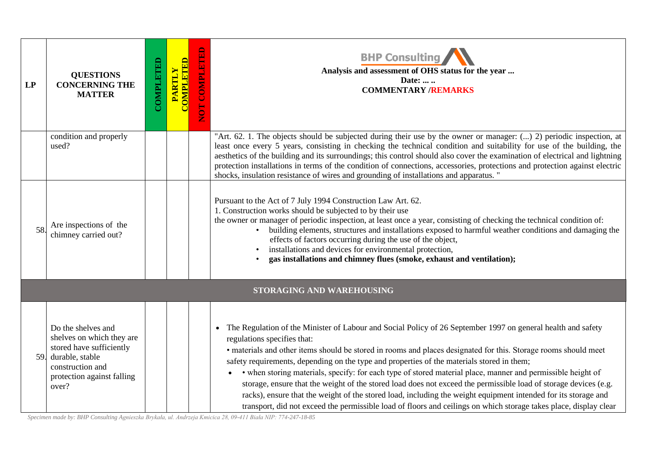| <b>LP</b> | <b>QUESTIONS</b><br><b>CONCERNING THE</b><br><b>MATTER</b>                                                                                                | COMPLETED | <b>COMPLETED</b><br>PARTLY | NOT COMPLETED | <b>BHP Consulting</b><br>Analysis and assessment of OHS status for the year<br>Date:<br><b>COMMENTARY /REMARKS</b>                                                                                                                                                                                                                                                                                                                                                                                                                                                                                                                                                                                                                                                                                                                                  |
|-----------|-----------------------------------------------------------------------------------------------------------------------------------------------------------|-----------|----------------------------|---------------|-----------------------------------------------------------------------------------------------------------------------------------------------------------------------------------------------------------------------------------------------------------------------------------------------------------------------------------------------------------------------------------------------------------------------------------------------------------------------------------------------------------------------------------------------------------------------------------------------------------------------------------------------------------------------------------------------------------------------------------------------------------------------------------------------------------------------------------------------------|
|           | condition and properly<br>used?                                                                                                                           |           |                            |               | "Art. 62. 1. The objects should be subjected during their use by the owner or manager: () 2) periodic inspection, at<br>least once every 5 years, consisting in checking the technical condition and suitability for use of the building, the<br>aesthetics of the building and its surroundings; this control should also cover the examination of electrical and lightning<br>protection installations in terms of the condition of connections, accessories, protections and protection against electric<br>shocks, insulation resistance of wires and grounding of installations and apparatus. "                                                                                                                                                                                                                                               |
| 58        | Are inspections of the<br>chimney carried out?                                                                                                            |           |                            |               | Pursuant to the Act of 7 July 1994 Construction Law Art. 62.<br>1. Construction works should be subjected to by their use<br>the owner or manager of periodic inspection, at least once a year, consisting of checking the technical condition of:<br>building elements, structures and installations exposed to harmful weather conditions and damaging the<br>effects of factors occurring during the use of the object,<br>installations and devices for environmental protection,<br>gas installations and chimney flues (smoke, exhaust and ventilation);                                                                                                                                                                                                                                                                                      |
|           |                                                                                                                                                           |           |                            |               | STORAGING AND WAREHOUSING                                                                                                                                                                                                                                                                                                                                                                                                                                                                                                                                                                                                                                                                                                                                                                                                                           |
| 59.       | Do the shelves and<br>shelves on which they are<br>stored have sufficiently<br>durable, stable<br>construction and<br>protection against falling<br>over? |           |                            |               | The Regulation of the Minister of Labour and Social Policy of 26 September 1997 on general health and safety<br>$\bullet$<br>regulations specifies that:<br>• materials and other items should be stored in rooms and places designated for this. Storage rooms should meet<br>safety requirements, depending on the type and properties of the materials stored in them;<br>• when storing materials, specify: for each type of stored material place, manner and permissible height of<br>storage, ensure that the weight of the stored load does not exceed the permissible load of storage devices (e.g.<br>racks), ensure that the weight of the stored load, including the weight equipment intended for its storage and<br>transport, did not exceed the permissible load of floors and ceilings on which storage takes place, display clear |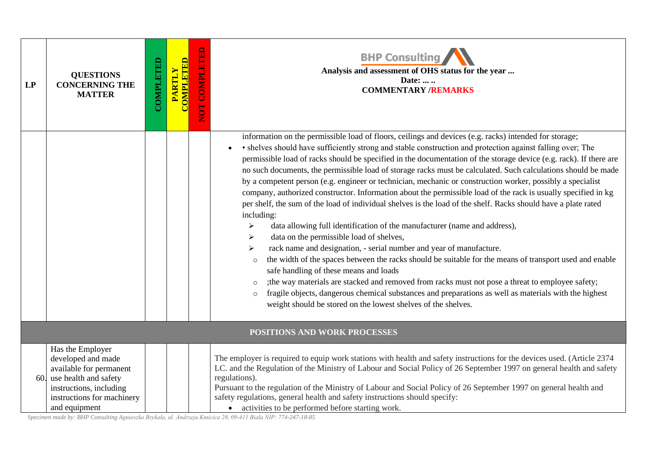| LP | <b>QUESTIONS</b><br><b>CONCERNING THE</b><br><b>MATTER</b>                                                                                                               | COMPLETED | <b>COMPLETED</b><br>PARTLY | NOT COMPLETED | <b>BHP Consulting</b><br>Analysis and assessment of OHS status for the year<br>Date:<br><b>COMMENTARY /REMARKS</b>                                                                                                                                                                                                                                                                                                                                                                                                                                                                                                                                                                                                                                                                                                                                                                                                                                                                                                                                                                                                                                                                                                                                                                                                                                                                                                                                                                                                                  |
|----|--------------------------------------------------------------------------------------------------------------------------------------------------------------------------|-----------|----------------------------|---------------|-------------------------------------------------------------------------------------------------------------------------------------------------------------------------------------------------------------------------------------------------------------------------------------------------------------------------------------------------------------------------------------------------------------------------------------------------------------------------------------------------------------------------------------------------------------------------------------------------------------------------------------------------------------------------------------------------------------------------------------------------------------------------------------------------------------------------------------------------------------------------------------------------------------------------------------------------------------------------------------------------------------------------------------------------------------------------------------------------------------------------------------------------------------------------------------------------------------------------------------------------------------------------------------------------------------------------------------------------------------------------------------------------------------------------------------------------------------------------------------------------------------------------------------|
|    |                                                                                                                                                                          |           |                            |               | information on the permissible load of floors, ceilings and devices (e.g. racks) intended for storage;<br>• shelves should have sufficiently strong and stable construction and protection against falling over; The<br>permissible load of racks should be specified in the documentation of the storage device (e.g. rack). If there are<br>no such documents, the permissible load of storage racks must be calculated. Such calculations should be made<br>by a competent person (e.g. engineer or technician, mechanic or construction worker, possibly a specialist<br>company, authorized constructor. Information about the permissible load of the rack is usually specified in kg<br>per shelf, the sum of the load of individual shelves is the load of the shelf. Racks should have a plate rated<br>including:<br>data allowing full identification of the manufacturer (name and address),<br>➤<br>data on the permissible load of shelves,<br>≻<br>rack name and designation, - serial number and year of manufacture.<br>$\blacktriangleright$<br>the width of the spaces between the racks should be suitable for the means of transport used and enable<br>$\circ$<br>safe handling of these means and loads<br>; the way materials are stacked and removed from racks must not pose a threat to employee safety;<br>$\circ$<br>fragile objects, dangerous chemical substances and preparations as well as materials with the highest<br>$\circ$<br>weight should be stored on the lowest shelves of the shelves. |
|    |                                                                                                                                                                          |           |                            |               | POSITIONS AND WORK PROCESSES                                                                                                                                                                                                                                                                                                                                                                                                                                                                                                                                                                                                                                                                                                                                                                                                                                                                                                                                                                                                                                                                                                                                                                                                                                                                                                                                                                                                                                                                                                        |
|    | Has the Employer<br>developed and made<br>available for permanent<br>60. use health and safety<br>instructions, including<br>instructions for machinery<br>and equipment |           |                            |               | The employer is required to equip work stations with health and safety instructions for the devices used. (Article 2374<br>LC. and the Regulation of the Ministry of Labour and Social Policy of 26 September 1997 on general health and safety<br>regulations).<br>Pursuant to the regulation of the Ministry of Labour and Social Policy of 26 September 1997 on general health and<br>safety regulations, general health and safety instructions should specify:<br>• activities to be performed before starting work.                                                                                                                                                                                                                                                                                                                                                                                                                                                                                                                                                                                                                                                                                                                                                                                                                                                                                                                                                                                                           |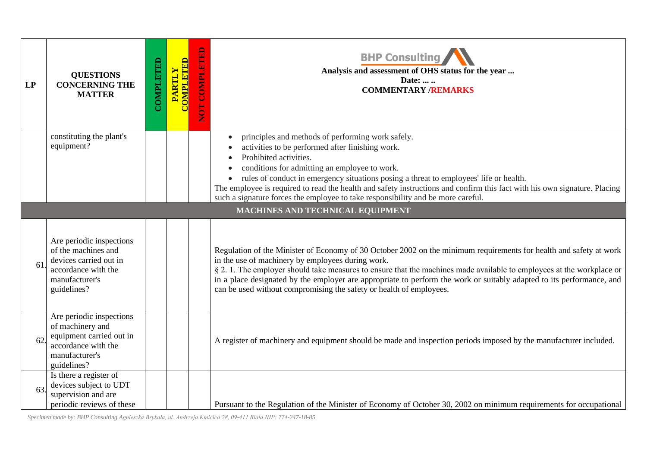| LP | <b>QUESTIONS</b><br><b>CONCERNING THE</b><br><b>MATTER</b>                                                                        | COMPLETED | <b>PARTLY<br/>COMPLETED</b> | $\mathbf{B}$<br>COMPLET<br><b>DO</b> | <b>BHP Consulting</b><br>Analysis and assessment of OHS status for the year<br>Date:<br><b>COMMENTARY /REMARKS</b>                                                                                                                                                                                                                                                                                                                                                                               |
|----|-----------------------------------------------------------------------------------------------------------------------------------|-----------|-----------------------------|--------------------------------------|--------------------------------------------------------------------------------------------------------------------------------------------------------------------------------------------------------------------------------------------------------------------------------------------------------------------------------------------------------------------------------------------------------------------------------------------------------------------------------------------------|
|    | constituting the plant's<br>equipment?                                                                                            |           |                             |                                      | principles and methods of performing work safely.<br>activities to be performed after finishing work.<br>Prohibited activities.<br>conditions for admitting an employee to work.<br>rules of conduct in emergency situations posing a threat to employees' life or health.<br>The employee is required to read the health and safety instructions and confirm this fact with his own signature. Placing<br>such a signature forces the employee to take responsibility and be more careful.      |
|    |                                                                                                                                   |           |                             |                                      | MACHINES AND TECHNICAL EQUIPMENT                                                                                                                                                                                                                                                                                                                                                                                                                                                                 |
| 61 | Are periodic inspections<br>of the machines and<br>devices carried out in<br>accordance with the<br>manufacturer's<br>guidelines? |           |                             |                                      | Regulation of the Minister of Economy of 30 October 2002 on the minimum requirements for health and safety at work<br>in the use of machinery by employees during work.<br>§ 2. 1. The employer should take measures to ensure that the machines made available to employees at the workplace or<br>in a place designated by the employer are appropriate to perform the work or suitably adapted to its performance, and<br>can be used without compromising the safety or health of employees. |
| 62 | Are periodic inspections<br>of machinery and<br>equipment carried out in<br>accordance with the<br>manufacturer's<br>guidelines?  |           |                             |                                      | A register of machinery and equipment should be made and inspection periods imposed by the manufacturer included.                                                                                                                                                                                                                                                                                                                                                                                |
| 63 | Is there a register of<br>devices subject to UDT<br>supervision and are<br>periodic reviews of these                              |           |                             |                                      | Pursuant to the Regulation of the Minister of Economy of October 30, 2002 on minimum requirements for occupational                                                                                                                                                                                                                                                                                                                                                                               |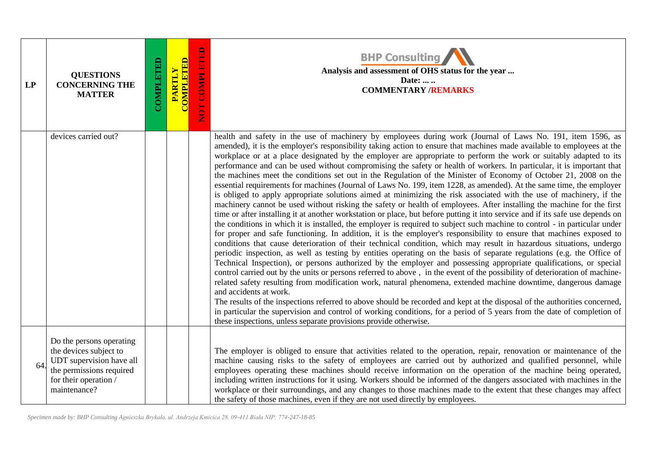| LP | <b>QUESTIONS</b><br><b>CONCERNING THE</b><br><b>MATTER</b>                                                                                          | COMPLETED | <b>COMPLETED</b><br><b>PARTLY</b> | NOT COMPLETED | <b>BHP Consulting</b><br>Analysis and assessment of OHS status for the year<br>Date:<br><b>COMMENTARY /REMARKS</b>                                                                                                                                                                                                                                                                                                                                                                                                                                                                                                                                                                                                                                                                                                                                                                                                                                                                                                                                                                                                                                                                                                                                                                                                                                                                                                                                                                                                                                                                                                                                                                                                                                                                                                                                                                                                                                                                                                                                                                                                                                                                                                                                                                                                                                      |
|----|-----------------------------------------------------------------------------------------------------------------------------------------------------|-----------|-----------------------------------|---------------|---------------------------------------------------------------------------------------------------------------------------------------------------------------------------------------------------------------------------------------------------------------------------------------------------------------------------------------------------------------------------------------------------------------------------------------------------------------------------------------------------------------------------------------------------------------------------------------------------------------------------------------------------------------------------------------------------------------------------------------------------------------------------------------------------------------------------------------------------------------------------------------------------------------------------------------------------------------------------------------------------------------------------------------------------------------------------------------------------------------------------------------------------------------------------------------------------------------------------------------------------------------------------------------------------------------------------------------------------------------------------------------------------------------------------------------------------------------------------------------------------------------------------------------------------------------------------------------------------------------------------------------------------------------------------------------------------------------------------------------------------------------------------------------------------------------------------------------------------------------------------------------------------------------------------------------------------------------------------------------------------------------------------------------------------------------------------------------------------------------------------------------------------------------------------------------------------------------------------------------------------------------------------------------------------------------------------------------------------------|
|    | devices carried out?                                                                                                                                |           |                                   |               | health and safety in the use of machinery by employees during work (Journal of Laws No. 191, item 1596, as<br>amended), it is the employer's responsibility taking action to ensure that machines made available to employees at the<br>workplace or at a place designated by the employer are appropriate to perform the work or suitably adapted to its<br>performance and can be used without compromising the safety or health of workers. In particular, it is important that<br>the machines meet the conditions set out in the Regulation of the Minister of Economy of October 21, 2008 on the<br>essential requirements for machines (Journal of Laws No. 199, item 1228, as amended). At the same time, the employer<br>is obliged to apply appropriate solutions aimed at minimizing the risk associated with the use of machinery, if the<br>machinery cannot be used without risking the safety or health of employees. After installing the machine for the first<br>time or after installing it at another workstation or place, but before putting it into service and if its safe use depends on<br>the conditions in which it is installed, the employer is required to subject such machine to control - in particular under<br>for proper and safe functioning. In addition, it is the employer's responsibility to ensure that machines exposed to<br>conditions that cause deterioration of their technical condition, which may result in hazardous situations, undergo<br>periodic inspection, as well as testing by entities operating on the basis of separate regulations (e.g. the Office of<br>Technical Inspection), or persons authorized by the employer and possessing appropriate qualifications, or special<br>control carried out by the units or persons referred to above, in the event of the possibility of deterioration of machine-<br>related safety resulting from modification work, natural phenomena, extended machine downtime, dangerous damage<br>and accidents at work.<br>The results of the inspections referred to above should be recorded and kept at the disposal of the authorities concerned,<br>in particular the supervision and control of working conditions, for a period of 5 years from the date of completion of<br>these inspections, unless separate provisions provide otherwise. |
| 64 | Do the persons operating<br>the devices subject to<br>UDT supervision have all<br>the permissions required<br>for their operation /<br>maintenance? |           |                                   |               | The employer is obliged to ensure that activities related to the operation, repair, renovation or maintenance of the<br>machine causing risks to the safety of employees are carried out by authorized and qualified personnel, while<br>employees operating these machines should receive information on the operation of the machine being operated,<br>including written instructions for it using. Workers should be informed of the dangers associated with machines in the<br>workplace or their surroundings, and any changes to those machines made to the extent that these changes may affect<br>the safety of those machines, even if they are not used directly by employees.                                                                                                                                                                                                                                                                                                                                                                                                                                                                                                                                                                                                                                                                                                                                                                                                                                                                                                                                                                                                                                                                                                                                                                                                                                                                                                                                                                                                                                                                                                                                                                                                                                                               |